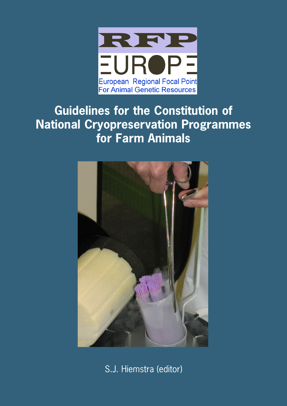

# **Guidelines for the Constitution of National Cryopreservation Programmes for Farm Animals**



S.J. Hiemstra (editor)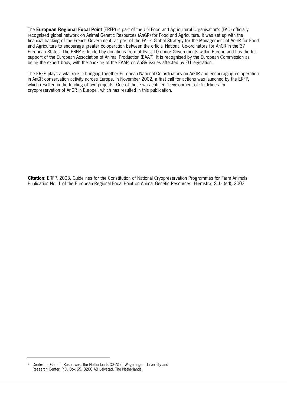The **European Regional Focal Point** (ERFP) is part of the UN Food and Agricultural Organisation's (FAO) officially recognised global network on Animal Genetic Resources (AnGR) for Food and Agriculture. It was set up with the financial backing of the French Government, as part of the FAO's Global Strategy for the Management of AnGR for Food and Agriculture to encourage greater co-operation between the official National Co-ordinators for AnGR in the 37 European States. The ERFP is funded by donations from at least 10 donor Governments within Europe and has the full support of the European Association of Animal Production (EAAP). It is recognised by the European Commission as being the expert body, with the backing of the EAAP, on AnGR issues affected by EU legislation.

The ERFP plays a vital role in bringing together European National Co-ordinators on AnGR and encouraging co-operation in AnGR conservation activity across Europe. In November 2002, a first call for actions was launched by the ERFP, which resulted in the funding of two projects. One of these was entitled 'Development of Guidelines for cryopreservation of AnGR in Europe', which has resulted in this publication.

**Citation:** ERFP, 2003. Guidelines for the Constitution of National Cryopreservation Programmes for Farm Animals. Publication No. 1 of the European Regional Focal Point on Animal Genetic Resources. Hiemstra, S.J.<sup>1</sup> (ed), 2003

<sup>&</sup>lt;sup>1</sup> Centre for Genetic Resources, the Netherlands (CGN) of Wageningen University and Research Center, P.O. Box 65, 8200 AB Lelystad, The Netherlands.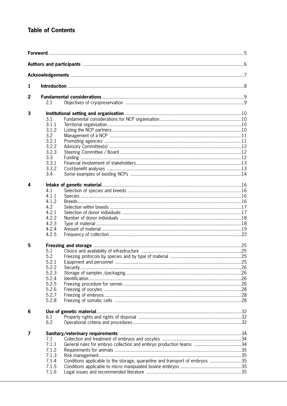# **Table of Contents**

| 1 |       |                                                                              |  |  |  |
|---|-------|------------------------------------------------------------------------------|--|--|--|
| 2 |       |                                                                              |  |  |  |
|   | 2.1   |                                                                              |  |  |  |
| 3 |       |                                                                              |  |  |  |
|   | 3.1   |                                                                              |  |  |  |
|   | 3.1.1 |                                                                              |  |  |  |
|   | 3.1.2 |                                                                              |  |  |  |
|   | 3.2   |                                                                              |  |  |  |
|   | 3.2.1 |                                                                              |  |  |  |
|   | 3.2.2 |                                                                              |  |  |  |
|   | 3.2.3 |                                                                              |  |  |  |
|   | 3.3   |                                                                              |  |  |  |
|   | 3.3.1 |                                                                              |  |  |  |
|   | 3.3.2 |                                                                              |  |  |  |
|   | 3.4   |                                                                              |  |  |  |
|   |       |                                                                              |  |  |  |
| 4 |       |                                                                              |  |  |  |
|   |       |                                                                              |  |  |  |
|   | 4.1   |                                                                              |  |  |  |
|   | 4.1.1 |                                                                              |  |  |  |
|   | 4.1.2 |                                                                              |  |  |  |
|   | 4.2   |                                                                              |  |  |  |
|   | 4.2.1 |                                                                              |  |  |  |
|   | 4.2.2 |                                                                              |  |  |  |
|   | 4.2.3 |                                                                              |  |  |  |
|   | 4.2.4 |                                                                              |  |  |  |
|   | 4.2.5 |                                                                              |  |  |  |
| 5 |       |                                                                              |  |  |  |
|   | 5.1   |                                                                              |  |  |  |
|   | 5.2   |                                                                              |  |  |  |
|   | 5.2.1 |                                                                              |  |  |  |
|   | 5.2.2 |                                                                              |  |  |  |
|   | 5.2.3 |                                                                              |  |  |  |
|   | 5.2.4 |                                                                              |  |  |  |
|   | 5.2.5 |                                                                              |  |  |  |
|   | 5.2.6 |                                                                              |  |  |  |
|   | 5.2.7 |                                                                              |  |  |  |
|   | 5.2.8 |                                                                              |  |  |  |
|   |       |                                                                              |  |  |  |
| 6 |       |                                                                              |  |  |  |
|   | 6.1   |                                                                              |  |  |  |
|   | 6.2   |                                                                              |  |  |  |
| 7 |       |                                                                              |  |  |  |
|   | 7.1   |                                                                              |  |  |  |
|   | 7.1.1 | General rules for embryo collection and embryo production teams 34           |  |  |  |
|   | 7.1.2 |                                                                              |  |  |  |
|   |       |                                                                              |  |  |  |
|   | 7.1.3 |                                                                              |  |  |  |
|   | 7.1.4 | Conditions applicable to the storage, quarantine and transport of embryos 35 |  |  |  |
|   | 7.1.5 |                                                                              |  |  |  |
|   | 7.1.6 |                                                                              |  |  |  |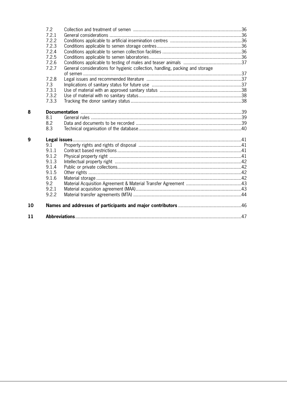|    | 7.2   |                                                                               |  |
|----|-------|-------------------------------------------------------------------------------|--|
|    | 7.2.1 |                                                                               |  |
|    | 7.2.2 |                                                                               |  |
|    | 7.2.3 |                                                                               |  |
|    | 7.2.4 |                                                                               |  |
|    | 7.2.5 |                                                                               |  |
|    | 7.2.6 |                                                                               |  |
|    | 7.2.7 | General considerations for hygienic collection, handling, packing and storage |  |
|    |       |                                                                               |  |
|    | 7.2.8 |                                                                               |  |
|    | 7.3   |                                                                               |  |
|    | 7.3.1 |                                                                               |  |
|    | 7.3.2 |                                                                               |  |
|    | 7.3.3 |                                                                               |  |
|    |       |                                                                               |  |
| 8  |       |                                                                               |  |
|    | 8.1   |                                                                               |  |
|    | 8.2   |                                                                               |  |
|    | 8.3   |                                                                               |  |
| 9  |       |                                                                               |  |
|    | 9.1   |                                                                               |  |
|    | 9.1.1 |                                                                               |  |
|    | 9.1.2 |                                                                               |  |
|    | 9.1.3 |                                                                               |  |
|    | 9.1.4 |                                                                               |  |
|    | 9.1.5 |                                                                               |  |
|    | 9.1.6 |                                                                               |  |
|    | 9.2   |                                                                               |  |
|    | 9.2.1 |                                                                               |  |
|    | 9.2.2 |                                                                               |  |
| 10 |       |                                                                               |  |
| 11 |       |                                                                               |  |
|    |       |                                                                               |  |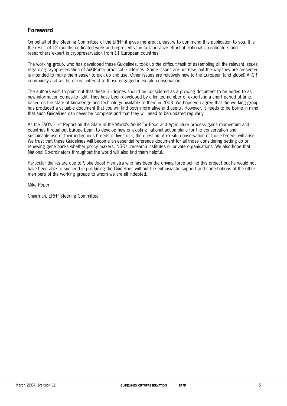# **Foreword**

On behalf of the Steering Committee of the ERFP, it gives me great pleasure to commend this publication to you. It is the result of 12 months dedicated work and represents the collaborative effort of National Co-ordinators and researchers expert in cryopreservation from 11 European countries.

The working group, who has developed these Guidelines, took up the difficult task of assembling all the relevant issues regarding cryopreservation of AnGR into practical Guidelines. Some issues are not new, but the way they are presented is intended to make them easier to pick up and use. Other issues are relatively new to the European (and global) AnGR community and will be of real interest to those engaged in ex situ conservation.

The authors wish to point out that these Guidelines should be considered as a growing document to be added to as new information comes to light. They have been developed by a limited number of experts in a short period of time, based on the state of knowledge and technology available to them in 2003. We hope you agree that the working group has produced a valuable document that you will find both informative and useful. However, it needs to be borne in mind that such Guidelines can never be complete and that they will need to be updated regularly.

As the FAO's First Report on the State of the World's AnGR for Food and Agriculture process gains momentum and countries throughout Europe begin to develop new or existing national action plans for the conservation and sustainable use of their indigenous breeds of livestock, the question of ex situ conservation of those breeds will arise. We trust that these Guidelines will become an essential reference document for all those considering setting up or renewing gene banks whether policy makers, NGOs, research institutes or private organisations. We also hope that National Co-ordinators throughout the world will also find them helpful.

Particular thanks are due to Sipke Joost Hiemstra who has been the driving force behind this project but he would not have been able to succeed in producing the Guidelines without the enthusiastic support and contributions of the other members of the working groups to whom we are all indebted.

Mike Roper

Chairman, ERFP Steering Committee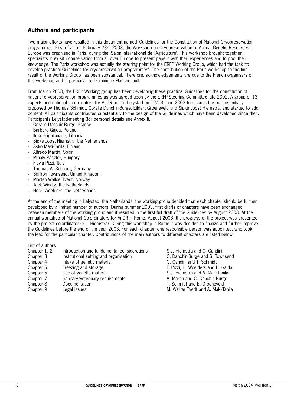# **Authors and participants**

Two major efforts have resulted in this document named 'Guidelines for the Constitution of National Cryopreservation programmes. First of all, on February 23rd 2003, the Workshop on Cryopreservation of Animal Genetic Resources in Europe was organised in Paris, during the 'Salon International de l'Agriculture'. This workshop brought together specialists in ex situ conservation from all over Europe to present papers with their experiences and to pool their knowledge. The Paris workshop was actually the starting point for the ERFP Working Group, which had the task 'to develop practical Guidelines for cryopreservation programmes'. The contribution of the Paris workshop to the final result of the Working Group has been substantial. Therefore, acknowledgements are due to the French organisers of this workshop and in particular to Dominique Planchenault.

From March 2003, the ERFP Working group has been developing these practical Guidelines for the constitution of national cryopreservation programmes as was agreed upon by the ERFP-Steering Committee late 2002. A group of 13 experts and national co-ordinators for AnGR met in Lelystad on 12/13 June 2003 to discuss the outline, initially proposed by Thomas Schmidt, Coralie Danchin-Burge, Eildert Groeneveld and Sipke Joost Hiemstra, and started to add content. All participants contributed substantially to the design of the Guidelines which have been developed since then. Participants Lelystad-meeting (for personal details see Annex I).:

- Coralie Danchin-Burge, France
- Barbara Gajda, Poland
- Ilma Grigaliunaite, Lituania
- Sipke Joost Hiemstra, the Netherlands
- Asko Maki-Tanila, Finland
- Alfredo Martin, Spain
- Mihály Pásztor, Hungary
- Flavia Pizzi, Italy
- Thomas A. Schmidt, Germany
- Saffron Townsend, United Kingdom
- Morten Walløe Tvedt, Norway
- Jack Windig, the Netherlands
- Henri Woelders, the Netherlands

At the end of the meeting in Lelystad, the Netherlands, the working group decided that each chapter should be further developed by a limited number of authors. During summer 2003, first drafts of chapters have been exchanged between members of the working group and it resulted in the first full draft of the Guidelines by August 2003. At the annual workshop of National Co-ordinators for AnGR in Rome, August 2003, the progress of the project was presented by the project co-ordinator (S.J. Hiemstra). During this workshop in Rome it was decided to finalize and further improve the Guidelines before the end of the year 2003. For each chapter, one responsible person was appointed, who took the lead for the particular chapter. Contributions of the main authors to different chapters are listed below.

List of authors

| Chapter 1, 2 | Introduction and fundamental considerations | S.J. Hiemstra and G. Gandini       |
|--------------|---------------------------------------------|------------------------------------|
| Chapter 3    | Institutional setting and organisation      | C. Danchin-Burge and S. Townsend   |
| Chapter 4    | Intake of genetic material                  | G. Gandini and T. Schmidt          |
| Chapter 5    | Freezing and storage                        | F. Pizzi, H. Woelders and B. Gajda |
| Chapter 6    | Use of genetic material                     | S.J. Hiemstra and A. Maki-Tanila   |
| Chapter 7    | Sanitary/veterinary requirements            | A. Martin and C. Danchin Burge     |
| Chapter 8    | Documentation                               | T. Schmidt and E. Groeneveld       |
| Chapter 9    | Legal issues                                | M. Wallge Tvedt and A. Maki-Tanila |
|              |                                             |                                    |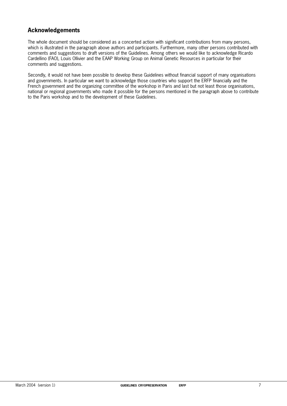# **Acknowledgements**

The whole document should be considered as a concerted action with significant contributions from many persons, which is illustrated in the paragraph above authors and participants. Furthermore, many other persons contributed with comments and suggestions to draft versions of the Guidelines. Among others we would like to acknowledge Ricardo Cardellino (FAO), Louis Ollivier and the EAAP Working Group on Animal Genetic Resources in particular for their comments and suggestions.

Secondly, it would not have been possible to develop these Guidelines without financial support of many organisations and governments. In particular we want to acknowledge those countries who support the ERFP financially and the French government and the organizing committee of the workshop in Paris and last but not least those organisations, national or regional governments who made it possible for the persons mentioned in the paragraph above to contribute to the Paris workshop and to the development of these Guidelines.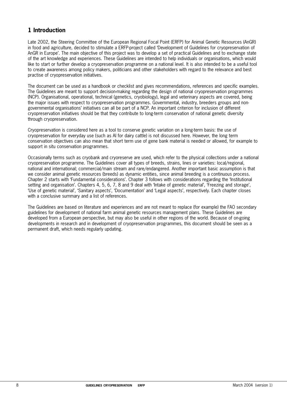# **1 Introduction**

Late 2002, the Steering Committee of the European Regional Focal Point (ERFP) for Animal Genetic Resources (AnGR) in food and agriculture, decided to stimulate a ERFP-project called 'Development of Guidelines for cryopreservation of AnGR in Europe'. The main objective of this project was to develop a set of practical Guidelines and to exchange state of the art knowledge and experiences. These Guidelines are intended to help individuals or organisations, which would like to start or further develop a cryopreservation programme on a national level. It is also intended to be a useful tool to create awareness among policy makers, politicians and other stakeholders with regard to the relevance and best practise of cryopreservation initiatives.

The document can be used as a handbook or checklist and gives recommendations, references and specific examples. The Guidelines are meant to support decision-making regarding the design of national cryopreservation programmes (NCP). Organisational, operational, technical (genetics, cryobiology), legal and veterinary aspects are covered, being the major issues with respect to cryopreservation programmes. Governmental, industry, breeders groups and nongovernmental organisations' initiatives can all be part of a NCP. An important criterion for inclusion of different cryopreservation initiatives should be that they contribute to long-term conservation of national genetic diversity through cryopreservation.

Cryopreservation is considered here as a tool to conserve genetic variation on a long-term basis: the use of cryopreservation for everyday use (such as AI for dairy cattle) is not discussed here. However, the long term conservation objectives can also mean that short term use of gene bank material is needed or allowed, for example to support in situ conservation programmes.

Occasionally terms such as cryobank and cryoreserve are used, which refer to the physical collections under a national cryopreservation programme. The Guidelines cover all types of breeds, strains, lines or varieties: local/regional, national and international; commercial/main stream and rare/endangered. Another important basic assumption is that we consider animal genetic resources (breeds) as dynamic entities, since animal breeding is a continuous process. Chapter 2 starts with 'Fundamental considerations'. Chapter 3 follows with considerations regarding the 'Institutional setting and organisation'. Chapters 4, 5, 6, 7, 8 and 9 deal with 'Intake of genetic material', 'Freezing and storage', 'Use of genetic material', 'Sanitary aspects', 'Documentation' and 'Legal aspects', respectively. Each chapter closes with a conclusive summary and a list of references.

The Guidelines are based on literature and experiences and are not meant to replace (for example) the FAO secondary guidelines for development of national farm animal genetic resources management plans. These Guidelines are developed from a European perspective, but may also be useful in other regions of the world. Because of on-going developments in research and in development of cryopreservation programmes, this document should be seen as a permanent draft, which needs regularly updating.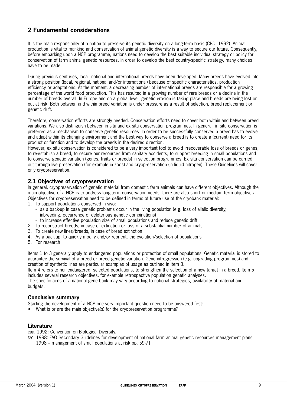# **2 Fundamental considerations**

It is the main responsibility of a nation to preserve its genetic diversity on a long-term basis (CBD, 1992). Animal production is vital to mankind and conservation of animal genetic diversity is a way to secure our future. Consequently, before embarking upon a NCP programme, nations need to develop the best suitable individual strategy or policy for conservation of farm animal genetic resources. In order to develop the best country-specific strategy, many choices have to be made.

During previous centuries, local, national and international breeds have been developed. Many breeds have evolved into a strong position (local, regional, national and/or international) because of specific characteristics, production efficiency or adaptations. At the moment, a decreasing number of international breeds are responsible for a growing percentage of the world food production. This has resulted in a growing number of rare breeds or a decline in the number of breeds overall. In Europe and on a global level, genetic erosion is taking place and breeds are being lost or put at risk. Both between and within breed variation is under pressure as a result of selection, breed replacement or genetic drift.

Therefore, conservation efforts are strongly needed. Conservation efforts need to cover both within and between breed variations. We also distinguish between in situ and ex situ conservation programmes. In general, in situ conservation is preferred as a mechanism to conserve genetic resources. In order to be successfully conserved a breed has to evolve and adapt within its changing environment and the best way to conserve a breed is to create a (current) need for its product or function and to develop the breeds in the desired direction.

However, ex situ conservation is considered to be a very important tool to avoid irrecoverable loss of breeds or genes, to re-establish a breed, to secure our resources from sanitary accidents, to support breeding in small populations and to conserve genetic variation (genes, traits or breeds) in selection programmes. Ex situ conservation can be carried out through live preservation (for example in zoos) and cryopreservation (in liquid nitrogen). These Guidelines will cover only cryopreservation.

# **2.1 Objectives of cryopreservation**

In general, cryopreservation of genetic material from domestic farm animals can have different objectives. Although the main objective of a NCP is to address long-term conservation needs, there are also short or medium term objectives. Objectives for cryopreservation need to be defined in terms of future use of the cryobank material:

- 1. To support populations conserved in vivo:
	- as a back-up in case genetic problems occur in the living population (e.g. loss of allelic diversity, inbreeding, occurrence of deleterious genetic combinations)
	- to increase effective population size of small populations and reduce genetic drift
- 2. To reconstruct breeds, in case of extinction or loss of a substantial number of animals
- 3. To create new lines/breeds, in case of breed extinction
- 4. As a back-up, to quickly modify and/or reorient, the evolution/selection of populations
- 5. For research

Items 1 to 3 generally apply to endangered populations or protection of small populations. Genetic material is stored to guarantee the survival of a breed or breed genetic variation. Gene introgression (e.g. upgrading programmes) and creation of synthetic lines are particular examples of usage as outlined in item 3.

Item 4 refers to non-endangered, selected populations, to strengthen the selection of a new target in a breed. Item 5 includes several research objectives, for example retrospective population genetic analyses.

The specific aims of a national gene bank may vary according to national strategies, availability of material and budgets.

#### **Conclusive summary**

Starting the development of a NCP one very important question need to be answered first:

• What is or are the main objective(s) for the cryopreservation programme?

#### **Literature**

CBD, 1992: Convention on Biological Diversity.

FAO, 1998: FAO Secondary Guidelines for development of national farm animal genetic resources management plans 1998 – management of small populations at risk pp. 59-71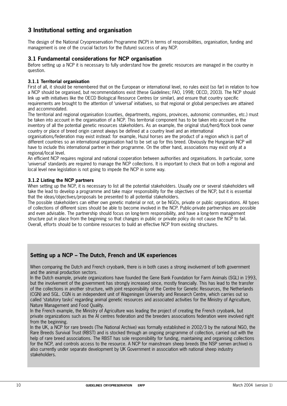# **3 Institutional setting and organisation**

The design of the National Cryopreservation Programme (NCP) in terms of responsibilities, organisation, funding and management is one of the crucial factors for the (future) success of any NCP.

### **3.1 Fundamental considerations for NCP organisation**

Before setting up a NCP it is necessary to fully understand how the genetic resources are managed in the country in question.

#### **3.1.1 Territorial organisation**

First of all, it should be remembered that on the European or international level, no rules exist (so far) in relation to how a NCP should be organised, but recommendations exist (these Guidelines; FAO, 1998; OECD, 2003). The NCP should link up with initiatives like the OECD Biological Resource Centres (or similar), and ensure that country specific requirements are brought to the attention of 'universal' initiatives, so that regional or global perspectives are attained and accommodated.

The territorial and regional organisation (counties, departments, regions, provinces, autonomic communities, etc.) must be taken into account in the organisation of a NCP. This territorial component has to be taken into account in the inventory of all the potential genetic resources stakeholders. As an example, the original stud/herd/flock book owner country or place of breed origin cannot always be defined at a country level and an international

organisations/federation may exist instead: for example, Huzul horses are the product of a region which is part of different countries so an international organisation had to be set up for this breed. Obviously the Hungarian NCP will have to include this international partner in their programme. On the other hand, associations may exist only at a regional/local level.

An efficient NCP requires regional and national cooperation between authorities and organisations. In particular, some 'universal' standards are required to manage the NCP collections. It is important to check that on both a regional and local level new legislation is not going to impede the NCP in some way.

#### **3.1.2 Listing the NCP partners**

When setting up the NCP, it is necessary to list all the potential stakeholders. Usually one or several stakeholders will take the lead to develop a programme and take major responsibility for the objectives of the NCP, but it is essential that the ideas/objectives/proposals be presented to all potential stakeholders.

The possible stakeholders can either own genetic material or not, or be NGOs, private or public organisations. All types of collections of different sizes should be able to become involved in the NCP. Public-private partnerships are possible and even advisable. The partnership should focus on long-term responsibility, and have a long-term management structure put in place from the beginning so that changes in public or private policy do not cause the NCP to fail. Overall, efforts should be to combine resources to build an effective NCP from existing structures.

# **Setting up a NCP – The Dutch, French and UK experiences**

When comparing the Dutch and French cryobank, there is in both cases a strong involvement of both government and the animal production sectors.

In the Dutch example, private organizations have founded the Gene Bank Foundation for Farm Animals (SGL) in 1993. but the involvement of the government has strongly increased since, mostly financially. This has lead to the transfer of the collections in another structure, with joint responsibility of the Centre for Genetic Resources, the Netherlands (CGN) and SGL. CGN is an independent unit of Wageningen University and Research Centre, which carries out so called 'statutory tasks' regarding animal genetic resources and associated activities for the Ministry of Agriculture, Nature Management and Food Quality.

In the French example, the Ministry of Agriculture was leading the project of creating the French cryobank, but private organizations such as the AI centres federation and the breeders associations federation were involved right from the beginning.

In the UK, a NCP for rare breeds (The National Archive) was formally established in 2002/3 by the national NGO, the Rare Breeds Survival Trust (RBST) and is stocked through an ongoing programme of collection, carried out with the help of rare breed associations. The RBST has sole responsibility for funding, maintaining and organising collections for the NCP, and controls access to the resource. A NCP for mainstream sheep breeds (the NSP semen archive) is also currently under separate development by UK Government in association with national sheep industry stakeholders.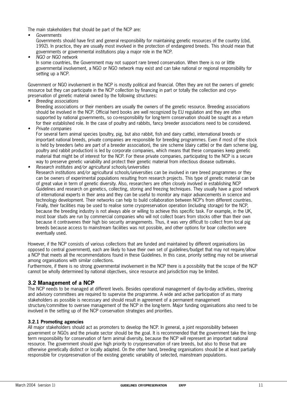The main stakeholders that should be part of the NCP are:

•Governments

Governments should have first and general responsibility for maintaining genetic resources of the country (cbd, 1992). In practice, they are usually most involved in the protection of endangered breeds. This should mean that governments or governmental institutions play a major role in the NCP.

• NGO or NGO network In some countries, the Government may not support rare breed conservation. When there is no or little governmental involvement, a NGO or NGO network may exist and can take national or regional responsibility for setting up a NCP.

Government or NGO involvement in the NCP is mostly political and financial. Often they are not the owners of genetic resource but they can participate in the NCP collection by financing in part or totally the collection and cryopreservation of genetic material owned by the following structures:

•Breeding associations

Breeding associations or their members are usually the owners of the genetic resource. Breeding associations should be involved in the NCP. Official herd books are well recognized by EU regulation and they are often supported by national governments, so co-responsibility for long-term conservation should be sought as a return for their established role. In the case of poultry and rabbits, fancy breeder associations need to be considered.

•Private companies

For several farm animal species (poultry, pig, but also rabbit, fish and dairy cattle), international breeds or important national breeds, private companies are responsible for breeding programmes. Even if most of the stock is held by breeders (who are part of a breeder association), the sire scheme (dairy cattle) or the dam scheme (pig, poultry and rabbit production) is led by corporate companies, which means that these companies keep genetic material that might be of interest for the NCP. For these private companies, participating to the NCP is a secure way to preserve genetic variability and protect their genetic material from infectious disease outbreaks. Research institutes and/or agricultural schools/universities

•Research institutions and/or agricultural schools/universities can be involved in rare breed programmes or they can be owners of experimental populations resulting from research projects. This type of genetic material can be of great value in term of genetic diversity. Also, researchers are often closely involved in establishing NCP Guidelines and research on genetics, collecting, storing and freezing techniques. They usually have a good network of international experts in their area and they can be useful to monitor any major advancements in science and technology development. Their networks can help to build collaboration between NCP's from different countries. Finally, their facilities may be used to realise some cryopreservation operation (including storage) for the NCP, because the breeding industry is not always able or willing to achieve this specific task. For example, in the UK, most boar studs are run by commercial companies who will not collect boars from stocks other than their own because it contravenes their high bio security arrangements. Thus, it was very difficult to collect from local pig breeds because access to mainstream facilities was not possible, and other options for boar collection were eventually used.

However, if the NCP consists of various collections that are funded and maintained by different organisations (as opposed to central government), each are likely to have their own set of guidelines/budget that may not require/allow a NCP that meets all the recommendations found in these Guidelines. In this case, priority setting may not be universal among organisations with similar collections.

Furthermore, if there is no strong governmental involvement in the NCP there is a possibility that the scope of the NCP cannot be wholly determined by national objectives, since resource and jurisdiction may be limited.

# **3.2 Management of a NCP**

The NCP needs to be managed at different levels. Besides operational management of day-to-day activities, steering and advisory committees are required to supervise the programme. A wide and active participation of as many stakeholders as possible is necessary and should result in agreement of a permanent management structure/committee to oversee management of the NCP in the long-term. Major funding organisations also need to be involved in the setting up of the NCP conservation strategies and priorities.

#### **3.2.1 Promoting agencies**

All major stakeholders should act as promoters to develop the NCP. In general, a joint responsibility between government or NGOs and the private sector should be the goal. It is recommended that the government take the longterm responsibility for conservation of farm animal diversity, because the NCP will represent an important national resource. The government should give high priority to cryopreservation of rare breeds, but also to those that are otherwise genetically distinct or locally adapted. On the other hand, breeding organisations should be at least partially responsible for cryopreservation of the existing genetic variability of selected, mainstream populations.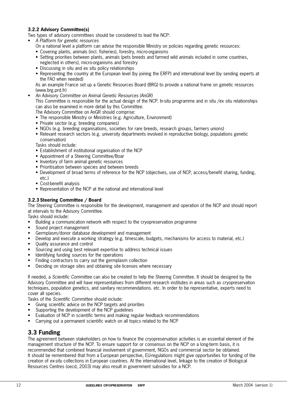## **3.2.2 Advisory Committee(s)**

Two types of advisory committees should be considered to lead the NCP:

- A Platform for genetic resources
	- On a national level a platform can advise the responsible Ministry on policies regarding genetic resources:
	- Covering plants, animals (incl. fisheries), forestry, micro-organisms
	- Setting priorities between plants, animals (pets breeds and farmed wild animals included in some countries, neglected in others), micro-organisms and forestry
	- Discussing in situ and ex situ policy relationships
	- Representing the country at the European level (by joining the ERFP) and international level (by sending experts at the FAO when needed)

As an example France set up a Genetic Resources Board (BRG) to provide a national frame on genetic resources (www.brg.prd.fr)

• An Advisory Committee on Animal Genetic Resources (AnGR)

This Committee is responsible for the actual design of the NCP. In-situ programme and in situ /ex situ relationships can also be examined in more detail by this Committee.

The Advisory Committee on AnGR should comprise:

- The responsible Ministry or Ministries (e.g. Agriculture, Environment)
- Private sector (e.g. breeding companies)
- NGOs (e.g. breeding organisations, societies for rare breeds, research groups, farmers unions)
- Relevant research sectors (e.g. university departments involved in reproductive biology, populations genetic conservation)

Tasks should include:

- Establishment of institutional organisation of the NCP
- Appointment of a Steering Committee/Boar
- Inventory of farm animal genetic resources
- Prioritisation between species and between breeds
- Development of broad terms of reference for the NCP (objectives, use of NCP, access/benefit sharing, funding,  $\rho$ tr $\eta$
- Cost-benefit analysis
- Representation of the NCP at the national and international level

#### **3.2.3 Steering Committee / Board**

The Steering Committee is responsible for the development, management and operation of the NCP and should report at intervals to the Advisory Committee.

Tasks should include:

- Building a communication network with respect to the cryopreservation programme
- Sound project management
- Germplasm/donor database development and management
- Develop and execute a working strategy (e.g. timescale, budgets, mechanisms for access to material, etc.)
- Quality assurance and control
- Sourcing and using best relevant expertise to address technical issues
- Identifying funding sources for the operations
- Finding contractors to carry out the germplasm collection
- Deciding on storage sites and obtaining site licenses where necessary

If needed, a Scientific Committee can also be created to help the Steering Committee. It should be designed by the Advisory Committee and will have representatives from different research institutes in areas such as cryopreservation techniques, population genetics, and sanitary recommendations. etc. In order to be representative, experts need to cover all species.

Tasks of the Scientific Committee should include:

- Giving scientific advice on the NCP targets and priorities
- Supporting the development of the NCP guidelines
- Evaluation of NCP in scientific terms and making regular feedback recommendations
- Carrying out a permanent scientific watch on all topics related to the NCP

# **3.3 Funding**

The agreement between stakeholders on how to finance the cryopreservation activities is an essential element of the management structure of the NCP. To ensure support for or consensus on the NCP on a long-term basis, it is recommended that combined financial involvement of government, NGOs and commercial sector be obtained. It should be remembered that from a European perspective, EU-regulations might give opportunities for funding of the creation of ex-situ collections in European countries. At the international level, linkage to the creation of Biological Resources Centres (oecd, 2003) may also result in government subsidies for a NCP.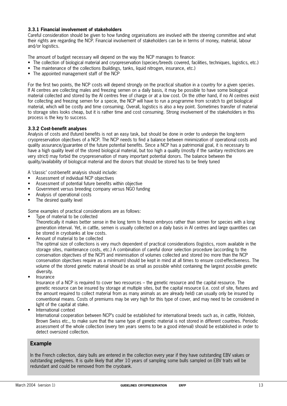#### **3.3.1 Financial involvement of stakeholders**

Careful consideration should be given to how funding organisations are involved with the steering committee and what their rights are regarding the NCP. Financial involvement of stakeholders can be in terms of money, material, labour and/or logistics.

The amount of budget necessary will depend on the way the NCP manages to finance:

- The collection of biological material and cryopreservation (species/breeds covered, facilities, techniques, logistics, etc.)
- The maintenance of the collections (buildings, tanks, liquid nitrogen, insurance, etc.)
- The appointed management staff of the NCP

For the first two points, the NCP costs will depend strongly on the practical situation in a country for a given species. If AI centres are collecting males and freezing semen on a daily basis, it may be possible to have some biological material collected and stored by the AI centres free of charge or at a low cost. On the other hand, if no AI centres exist for collecting and freezing semen for a specie, the NCP will have to run a programme from scratch to get biological material, which will be costly and time consuming. Overall, logistics is also a key point. Sometimes transfer of material to storage sites looks cheap, but it is rather time and cost consuming. Strong involvement of the stakeholders in this process is the key to success.

#### **3.3.2 Cost-benefit analyses**

Analysis of costs and (future) benefits is not an easy task, but should be done in order to underpin the long-term cryopreservation objectives of a NCP. The NCP needs to find a balance between minimization of operational costs and quality assurance/guarantee of the future potential benefits. Since a NCP has a patrimonial goal, it is necessary to have a high quality level of the stored biological material, but too high a quality (mostly if the sanitary restrictions are very strict) may forbid the cryopreservation of many important potential donors. The balance between the quality/availability of biological material and the donors that should be stored has to be finely tuned

A 'classic' cost-benefit analysis should include:

- Assessment of individual NCP objectives
- Assessment of potential future benefits within objective
- Government versus breeding company versus NGO funding
- Analysis of operational costs
- The desired quality level

Some examples of practical considerations are as follows:

- Type of material to be collected Theoretically it makes better sense in the long term to freeze embryos rather than semen for species with a long generation interval. Yet, in cattle, semen is usually collected on a daily basis in AI centres and large quantities can be stored in cryobanks at low costs.
- Amount of material to be collected

The optimal size of collections is very much dependent of practical considerations (logistics, room available in the storage sites, maintenance costs, etc.) A combination of careful donor selection procedure (according to the conservation objectives of the NCP) and minimisation of volumes collected and stored (no more than the NCP conservation objectives require as a minimum) should be kept in mind at all times to ensure cost-effectiveness. The volume of the stored genetic material should be as small as possible whilst containing the largest possible genetic diversity.

• Insurance

Insurance of a NCP is required to cover two resources – the genetic resource and the capital resource. The genetic resource can be insured by storage at multiple sites, but the capital resource (i.e. cost of site, fixtures and the amount required to collect material from as many animals as are already held) can usually only be insured by conventional means. Costs of premiums may be very high for this type of cover, and may need to be considered in light of the capital at stake.

• International context

International cooperation between NCP's could be established for international breeds such as, in cattle, Holstein, Brown Swiss etc., to make sure that the same type of genetic material is not stored in different countries. Periodic assessment of the whole collection (every ten years seems to be a good interval) should be established in order to detect oversized collection.

# **Example**

In the French collection, dairy bulls are entered in the collection every year if they have outstanding EBV values or outstanding pedigrees. It is quite likely that after 10 years of sampling some bulls sampled on EBV traits will be redundant and could be removed from the cryobank.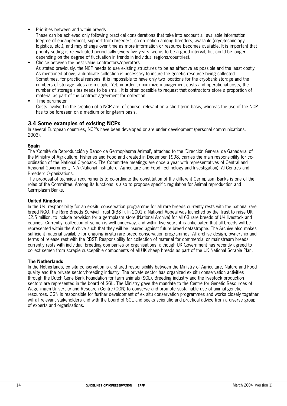• Priorities between and within breeds

These can be achieved only following practical considerations that take into account all available information (degree of endangerment, support from breeders, co-ordination among breeders, available (cryo)technology, logistics, etc.), and may change over time as more information or resource becomes available. It is important that priority setting is re-evaluated periodically (every five years seems to be a good interval, but could be longer depending on the degree of fluctuation in trends in individual regions/countries).

- Choice between the best value contractors/operators As stated previously, the NCP needs to use existing structures to be as effective as possible and the least costly. As mentioned above, a duplicate collection is necessary to insure the genetic resource being collected. Sometimes, for practical reasons, it is impossible to have only two locations for the cryobank storage and the numbers of storage sites are multiple. Yet, in order to minimize management costs and operational costs, the number of storage sites needs to be small. It is often possible to request that contractors store a proportion of material as part of the contract agreement for collection.
- Time parameter

Costs involved in the creation of a NCP are, of course, relevant on a short-term basis, whereas the use of the NCP has to be foreseen on a medium or long-term basis.

## **3.4 Some examples of existing NCPs**

In several European countries, NCP's have been developed or are under development (personal communications, 2003).

#### **Spain**

The 'Comité de Reproducción y Banco de Germoplasma Animal', attached to the 'Dirección General de Ganadería' of the Ministry of Agriculture, Fisheries and Food and created in December 1998, carries the main responsibility for coordination of the National Cryobank. The Committee meetings are once a year with representatives of Central and Regional Government, INIA (National Institute of Agriculture and Food Technology and Investigation), AI Centres and Breeders Organizations.

The proposal of technical requirements to co-ordinate the constitution of the different Germplasm Banks is one of the roles of the Committee. Among its functions is also to propose specific regulation for Animal reproduction and Germplasm Banks.

#### **United Kingdom**

In the UK, responsibility for an ex-situ conservation programme for all rare breeds currently rests with the national rare breed NGO, the Rare Breeds Survival Trust (RBST). In 2001 a National Appeal was launched by the Trust to raise UK £2.5 million, to include provision for a germplasm store (National Archive) for all 63 rare breeds of UK livestock and equines. Currently, collection of semen is well underway, and within five years it is anticipated that all breeds will be represented within the Archive such that they will be insured against future breed catastrophe. The Archive also makes sufficient material available for ongoing in-situ rare breed conservation programmes. All archive design, ownership and terms of release rest with the RBST. Responsibility for collection of material for commercial or mainstream breeds currently rests with individual breeding companies or organisations, although UK Government has recently agreed to collect semen from scrapie susceptible components of all UK sheep breeds as part of the UK National Scrapie Plan.

#### **The Netherlands**

In the Netherlands, ex situ conservation is a shared responsibility between the Ministry of Agriculture, Nature and Food quality and the private sector/breeding industry. The private sector has organized ex situ conservation activities through the Dutch Gene Bank Foundation for farm animals (SGL). Breeding industry and the livestock production sectors are represented in the board of SGL. The Ministry gave the mandate to the Centre for Genetic Resources of Wageningen University and Research Centre (CGN) to conserve and promote sustainable use of animal genetic resources. CGN is responsible for further development of ex situ conservation programmes and works closely together will all relevant stakeholders and with the board of SGL and seeks scientific and practical advice from a diverse group of experts and organisations.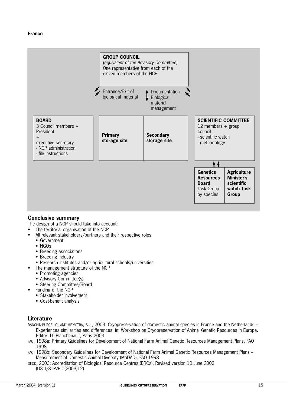

# **Conclusive summary**

The design of a NCP should take into account:

- The territorial organisation of the NCP
- All relevant stakeholders/partners and their respective roles
- Government
- NGOs
- Breeding associations
- Breeding industry
- Research institutes and/or agricultural schools/universities
- The management structure of the NCP
	- Promoting agencies
	- Advisory Committee(s)
	- Steering Committee/Board
- Funding of the NCP
	- Stakeholder involvement
	- Cost-benefit analysis

# **Literature**

- DANCHIN-BURGE, C. AND HIEMSTRA, S.J., 2003: Cryopreservation of domestic animal species in France and the Netherlands Experiences similarities and differences, in: Workshop on Cryopreservation of Animal Genetic Resources in Europe. Editor: D. Planchenault, Paris 2003
- FAO, 1998a: Primary Guidelines for Development of National Farm Animal Genetic Resources Management Plans, FAO 1998
- FAO, 1998b: Secondary Guidelines for Development of National Farm Animal Genetic Resources Management Plans Measurement of Domestic Animal Diversity (MoDAD), FAO 1998
- OECD, 2003: Accreditation of Biological Resource Centres (BRCs). Revised version 10 June 2003 (DSTI/STP/BIO(2003)12)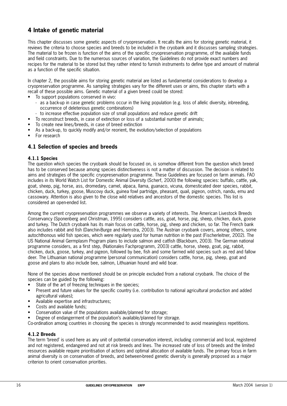# **4 Intake of genetic material**

This chapter discusses some genetic aspects of cryopreservation. It recalls the aims for storing genetic material, it reviews the criteria to choose species and breeds to be included in the cryobank and it discusses sampling strategies. The material to be frozen is function of the aims of the specific cryopreservation programme, of the available funds and field constraints. Due to the numerous sources of variation, the Guidelines do not provide exact numbers and recipes for the material to be stored but they rather intend to furnish instruments to define type and amount of material as a function of the specific situation.

In chapter 2, the possible aims for storing genetic material are listed as fundamental considerations to develop a cryopreservation programme. As sampling strategies vary for the different uses or aims, this chapter starts with a recall of these possible aims. Genetic material of a given breed could be stored:

- To support populations conserved in vivo:
	- as a back-up in case genetic problems occur in the living population (e.g. loss of allelic diversity, inbreeding, occurrence of deleterious genetic combinations)
	- to increase effective population size of small populations and reduce genetic drift
- To reconstruct breeds, in case of extinction or loss of a substantial number of animals;
- To create new lines/breeds, in case of breed extinction
- As a back-up, to quickly modify and/or reorient, the evolution/selection of populations
- For research

# **4.1 Selection of species and breeds**

#### **4.1.1 Species**

The question which species the cryobank should be focused on, is somehow different from the question which breed has to be conserved because among species distinctiveness is not a matter of discussion. The decision is related to aims and strategies of the specific cryopreservation programme. These Guidelines are focused on farm animals. FAO includes in its World Watch List for Domestic Animal Diversity (Scherf, 2000) the following species: buffalo, cattle, yak, goat, sheep, pig, horse, ass, dromedary, camel, alpaca, llama, guanaco, vicuna, domesticated deer species, rabbit, chicken, duck, turkey, goose, Muscovy duck, guinea fowl partridge, pheasant, quail, pigeon, ostrich, nandu, emu and cassowary. Attention is also given to the close wild relatives and ancestors of the domestic species. This list is considered an open-ended list.

Among the current cryopreservation programmes we observe a variety of interests. The American Livestock Breeds Conservancy (Sponenberg and Christman, 1995) considers cattle, ass, goat, horse, pig, sheep, chicken, duck, goose and turkey. The Dutch cryobank has its main focus on cattle, horse, pig, sheep and chicken, so far. The French bank also includes rabbit and fish (Danchin-Burge and Hiemstra, 2003). The Austrian cryobank covers, among others, some autochthonous wild fish species, which were regularly used for human nutrition in the past (Fischerleitner, 2002). The US National Animal Germplasm Program plans to include salmon and catfish (Blackburn, 2003). The German national programme considers, as a first step, (Nationales Fachprogramm, 2003) cattle, horse, sheep, goat, pig, rabbit, chicken, duck, goose, turkey, and pigeon, followed by bee, fish and some farmed wild species such as red and fallow deer. The Lithuanian national programme (personal communication) considers cattle, horse, pig, sheep, goat and goose and plans to also include bee, salmon, Lithuanian hound and wild boar.

None of the species above mentioned should be on principle excluded from a national cryobank. The choice of the species can be guided by the following:

- State of the art of freezing techniques in the species;
- Present and future values for the specific country (i.e. contribution to national agricultural production and added agricultural values);
- Available expertise and infrastructures;
- Costs and available funds;
- Conservation value of the populations available/planned for storage;
- Degree of endangerment of the population's available/planned for storage.

Co-ordination among countries in choosing the species is strongly recommended to avoid meaningless repetitions.

#### **4.1.2 Breeds**

The term 'breed' is used here as any unit of potential conservation interest, including commercial and local, registered and not registered, endangered and not at risk breeds and lines. The increased rate of loss of breeds and the limited resources available require prioritisation of actions and optimal allocation of available funds. The primary focus in farm animal diversity is on conservation of breeds, and between-breed genetic diversity is generally proposed as a major criterion to orient conservation priorities.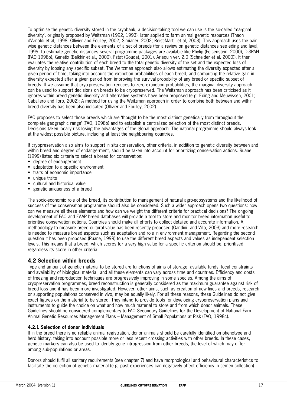To optimise the genetic diversity stored in the cryobank, a decision-taking tool we can use is the so-called 'marginal diversity', originally proposed by Weitzman (1992, 1993), later applied to farm animal genetic resources (Thaon d'Arnoldi et al, 1998; Ollivier and Foulley, 2002; Simianer, 2002; Reist-Marti et al, 2003). This approach uses the pair wise genetic distances between the elements of a set of breeds (for a review on genetic distances see eding and laval, 1999; to estimate genetic distances several programme packages are available like Phylip (Felsenstein, 2000), DISPAN (FAO 1998b), Genetix (Belkhir et al., 2000), Fstat (Goudet, 2001), Arlequin ver. 2.0 (Schneider et al. 2000)). It then evaluates the relative contribution of each breed to the total genetic diversity of the set and the expected loss of diversity by loosing any specific subset. The Weitzman approach also allows estimating the diversity expected after a given period of time, taking into account the extinction probabilities of each breed, and computing the relative gain in diversity expected after a given period from improving the survival probability of any breed or specific subset of breeds. If we assume that cryo-preservation reduces to zero extinction probabilities, the marginal diversity approach can be used to support decisions on breeds to be cryopreserved. The Weitzman approach has been criticised as it ignores within breed genetic diversity and alternative systems have been proposed (e.g. Eding and Meuwissen, 2001; Caballero and Toro, 2002); A method for using the Weitzman approach in order to combine both between and within breed diversity has been also indicated (Ollivier and Foulley, 2002).

FAO proposes to select those breeds which are 'thought to be the most distinct genetically from throughout the complete geographic range' (FAO, 1998b) and to establish a centralized selection of the most distinct breeds. Decisions taken locally risk losing the advantages of the global approach. The national programme should always look at the widest possible picture, including at least the neighbouring countries.

If cryopreservation also aims to support in situ conservation, other criteria, in addition to genetic diversity between and within breed and degree of endangerment, should be taken into account for prioritizing conservation actions. Ruane (1999) listed six criteria to select a breed for conservation:

- degree of endangerment
- adaptation to a specific environment
- traits of economic importance
- unique traits
- cultural and historical value
- genetic uniqueness of a breed

The socio-economic role of the breed, its contribution to management of natural agro-ecosystems and the likelihood of success of the conservation programme should also be considered. Such a wider approach opens two questions: how can we measure all these elements and how can we weight the different criteria for practical decisions? The ongoing development of FAO and EAAP breed databases will provide a tool to store and monitor breed information useful to prioritise conservation actions. Countries should make all efforts to collect detailed and accurate information. A methodology to measure breed cultural value has been recently proposed (Gandini and Villa, 2003) and more research is needed to measure breed aspects such as adaptation and role in environment management. Regarding the second question it has been proposed (Ruane, 1999) to use the different breed aspects and values as independent selection levels. This means that a breed, which scores for a very high value for a specific criterion should be, prioritised regardless its score in other criteria.

# **4.2 Selection within breeds**

Type and amount of genetic material to be stored are functions of aims of storage, available funds, local constraints and availability of biological material, and all these elements can vary across time and countries. Efficiency and costs of freezing and reproduction techniques are progressively improving in some species. Among the aims of cryopreservation programmes, breed reconstruction is generally considered as the maximum guarantee against risk of breed loss and it has been more investigated. However, other aims, such as creation of new lines and breeds, research or supporting populations conserved in vivo, may be equally likely. For all these reasons, these Guidelines do not give exact figures on the material to be stored. They intend to provide tools for developing cryopreservation plans and instruments to guide the choice on what and how much material to store and from which donor animals. These Guidelines should be considered complementary to FAO Secondary Guidelines for the Development of National Farm Animal Genetic Resources Management Plans – Management of Small Populations at Risk (FAO, 1998c).

#### **4.2.1 Selection of donor individuals**

If in the breed there is no reliable animal registration, donor animals should be carefully identified on phenotype and herd history, taking into account possible more or less recent crossing activities with other breeds. In these cases, genetic markers can also be used to identify gene introgression from other breeds, the level of which may differ among sub-populations or areas.

Donors should fulfil all sanitary requirements (see chapter 7) and have morphological and behavioural characteristics to facilitate the collection of genetic material (e.g. past experiences can negatively affect efficiency in semen collection).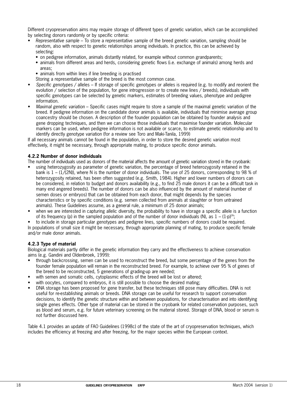Different cryopreservation aims may require storage of different types of genetic variation, which can be accomplished by selecting donors randomly or by specific criteria:

- Representative sample To store a representative sample of the breed genetic variation, sampling should be random, also with respect to genetic relationships among individuals. In practice, this can be achieved by selecting:
	- on pedigree information, animals distantly related, for example without common grandparents;
	- animals from different areas and herds, considering genetic flows (i.e. exchange of animals) among herds and areas;
	- animals from within lines if line breeding is practised

Storing a representative sample of the breed is the most common case.

- Specific genotypes / alleles If storage of specific genotypes or alleles is required (e.g. to modify and reorient the evolution / selection of the population, for gene introgression or to create new lines / breeds), individuals with specific genotypes can be selected by genetic markers, estimates of breeding values, phenotype and pedigree information.
- Maximal genetic variation Specific cases might require to store a sample of the maximal genetic variation of the breed. If pedigree information on the candidate donor animals is available, individuals that minimise average group coancestry should be chosen. A description of the founder population can be obtained by founder analysis and gene dropping techniques, and then we can choose those individuals that maximise founder variation. Molecular markers can be used, when pedigree information is not available or scarce, to estimate genetic relationship and to identify directly genotype variation (for a review see Toro and Maki-Tanila, 1999)

If all necessary animals cannot be found in the population, in order to store the desired genetic variation most effectively, it might be necessary, through appropriate mating, to produce specific donor animals.

#### **4.2.2 Number of donor individuals**

The number of individuals used as donors of the material affects the amount of genetic variation stored in the cryobank:

- using heterozygosity as parameter of genetic variation, the percentage of breed heterozygosity retained in the bank is  $1 - (1/(2N))$ , where N is the number of donor individuals. The use of 25 donors, corresponding to 98 % of heterozygosity retained, has been often suggested (e.g. Smith, 1984). Higher and lower numbers of donors can be considered, in relation to budget and donors availability (e.g., to find 25 male donors it can be a difficult task in many end angered breeds). The number of donors can be also influenced by the amount of material (number of semen doses or embryos) that can be obtained from each donor, that might depends by the species characteristics or by specific conditions (e.g. semen collected from animals at slaughter or from untrained animals). These Guidelines assume, as a general rule, a minimum of 25 donor animals;
- when we are interested in capturing allelic diversity, the probability to have in storage a specific allele is a function of its frequency (p) in the sampled population and of the number of donor individuals (N), as  $1 - (1-p)^{2N}$ ;

• to include in storage particular genotypes and pedigree lines, specific numbers of donors could be required.

In populations of small size it might be necessary, through appropriate planning of mating, to produce specific female and/or male donor animals.

#### **4.2.3 Type of material**

Biological materials partly differ in the genetic information they carry and the effectiveness to achieve conservation aims (e.g. Gandini and Oldenbroek, 1999):

- through backcrossing, semen can be used to reconstruct the breed, but some percentage of the genes from the founder female population will remain in the reconstructed breed. For example, to achieve over 95 % of genes of the breed to be reconstructed, 5 generations of grading-up are needed;
- with semen and somatic cells, cytoplasmic effects of the breed will be lost or altered;
- with oocytes, compared to embryos, it is still possible to choose the desired mating;
- DNA storage has been proposed for gene transfer, but these techniques still pose many difficulties. DNA is not useful for re-establishing animals or breeds. DNA storage can be useful for research to support conservation decisions, to identify the genetic structure within and between populations, for characterisation and into identifying single genes effects. Other type of material can be stored in the cryobank for related conservation purposes, such as blood and serum, e.g. for future veterinary screening on the material stored. Storage of DNA, blood or serum is not further discussed here.

Table 4.1 provides an update of FAO Guidelines (1998c) of the state of the art of cryopreservation techniques, which includes the efficiency at freezing and after freezing, for the major species within the European context.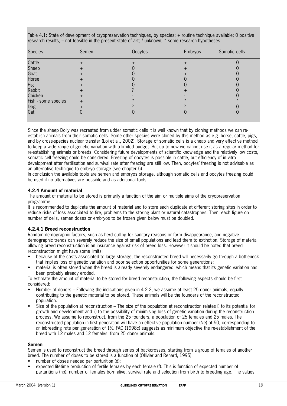| <b>Species</b>      | Semen            | Oocytes | Embryos | Somatic cells |
|---------------------|------------------|---------|---------|---------------|
| Cattle              |                  |         |         |               |
| Sheep               |                  |         |         |               |
| Goat                |                  |         |         |               |
| Horse               |                  |         |         |               |
| Pig                 |                  |         |         |               |
| Rabbit              |                  |         |         |               |
| Chicken             | $\boldsymbol{+}$ |         |         |               |
| Fish - some species | $\ddot{}$        |         |         |               |
| Dog                 |                  |         |         |               |
| Cat                 |                  |         |         |               |

Table 4.1: State of development of cryopreservation techniques, by species: + routine technique available; 0 positive research results, – not feasible in the present state of art; ? unknown; \* some research hypotheses

Since the sheep Dolly was recreated from udder somatic cells it is well known that by cloning methods we can reestablish animals from their somatic cells. Some other species were cloned by this method as e.g. horse, cattle, pigs, and by cross-species nuclear transfer (Loi et al., 2002). Storage of somatic cells is a cheap and very effective method to keep a wide range of genetic variation with a limited budget. But up to now we cannot use it as a regular method for re-establishing animals or breeds. Considering future developments of scientific knowledge and the relatively low costs, somatic cell freezing could be considered. Freezing of oocytes is possible in cattle, but efficiency of in vitro development after fertilisation and survival rate after freezing are still low. Then, oocytes' freezing is not advisable as an alternative technique to embryo storage (see chapter 5).

In conclusion the available tools are semen and embryos storage, although somatic cells and oocytes freezing could be used if no alternatives are possible and as additional tools.

## **4.2.4 Amount of material**

The amount of material to be stored is primarily a function of the aim or multiple aims of the cryopreservation programme.

It is recommended to duplicate the amount of material and to store each duplicate at different storing sites in order to reduce risks of loss associated to fire, problems to the storing plant or natural catastrophes. Then, each figure on number of cells, semen doses or embryos to be frozen given below must be doubled.

#### **4.2.4.1 Breed reconstruction**

Random demographic factors, such as herd culling for sanitary reasons or farm disappearance, and negative demographic trends can severely reduce the size of small populations and lead them to extinction. Storage of material allowing breed reconstruction is an insurance against risk of breed loss. However it should be noted that breed reconstruction might have some limits:

- because of the costs associated to large storage, the reconstructed breed will necessarily go through a bottleneck that implies loss of genetic variation and poor selection opportunities for some generations;
- material is often stored when the breed is already severely endangered, which means that its genetic variation has been probably already eroded.

To estimate the amount of material to be stored for breed reconstruction, the following aspects should be first considered:

- Number of donors Following the indications given in 4.2.2, we assume at least 25 donor animals, equally contributing to the genetic material to be stored. These animals will be the founders of the reconstructed population.
- Size of the population at reconstruction The size of the population at reconstruction relates i) to its potential for growth and development and ii) to the possibility of minimising loss of genetic variation during the reconstruction process. We assume to reconstruct, from the 25 founders, a population of 25 females and 25 males. The reconstructed population in first generation will have an effective population number (Ne) of 50, corresponding to an inbreeding rate per generation of 1%. FAO (1998c) suggests as minimum objective the re-establishment of the breed with 12 males and 12 females, from 25 donor animals.

#### **Semen**

Semen is used to reconstruct the breed through series of backcrosses, starting from a group of females of another breed. The number of doses to be stored is a function of (Ollivier and Renard, 1995):

- number of doses needed per parturition (d);
- expected lifetime production of fertile females by each female (f). This is function of expected number of parturitions (np), number of females born alive, survival rate and selection from birth to breeding age. The values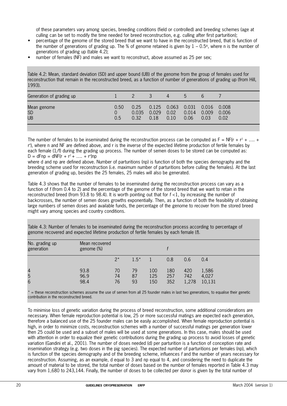of these parameters vary among species, breeding conditions (field or controlled) and breeding schemes (age at culling can be set to modify the time needed for breed reconstruction, e.g. culling after first parturition);

- percentage of the genome of the stored breed that we want to have in the reconstructed breed, that is function of the number of generations of grading up. The % of genome retained is given by  $1 - 0.5$ <sup>n</sup>, where n is the number of generations of grading up (table 4.2);
- number of females (NF) and males we want to reconstruct, above assumed as 25 per sex;

Table 4.2: Mean, standard deviation (SD) and upper bound (UB) of the genome from the group of females used for reconstruction that remain in the reconstructed breed, as a function of number of generations of grading up (from Hill, 1993).

| Generation of grading up              |                  |                       | $\overline{3}$ | 4            | $\mathcal{D}$                                      | $\mathfrak{b}$ |               |
|---------------------------------------|------------------|-----------------------|----------------|--------------|----------------------------------------------------|----------------|---------------|
| Mean genome<br><b>SD</b><br><b>UB</b> | 0.50<br>0<br>0.5 | 0.25<br>0.035<br>0.32 | 0.029<br>0.18  | 0.02<br>0.10 | 0.125  0.063  0.031  0.016  0.008<br>0.014<br>0.06 | 0.009<br>0.03  | 0.006<br>0.02 |

The number of females to be inseminated during the reconstruction process can be computed as  $F = NF(r + r^2 + ... +$ r n ), where n and NF are defined above, and r is the inverse of the expected lifetime production of fertile females by each female (1/f) during the grading up process. The number of semen doses to be stored can be computed as:  $D = dF np = dNF(r + r^2 + ... + r^n)np$ 

where d and np are defined above. Number of parturitions (np) is function of both the species demography and the breeding scheme used for reconstruction (i.e. maximum number of parturitions before culling the females). At the last generation of grading up, besides the 25 females, 25 males will also be generated.

Table 4.3 shows that the number of females to be inseminated during the reconstruction process can vary as a function of f (from 0.4 to 2) and the percentage of the genome of the stored breed that we want to retain in the reconstructed breed (from 93.8 to 98.4). It is worth pointing out that for  $f \lt 1$ , by increasing the number of backcrosses, the number of semen doses growths exponentially. Then, as a function of both the feasibility of obtaining large numbers of semen doses and available funds, the percentage of the genome to recover from the stored breed might vary among species and country conditions.

Table 4.3: Number of females to be inseminated during the reconstruction process according to percentage of genome recovered and expected lifetime production of fertile females by each female (f).

| No. grading up<br>generation | Mean recovered<br>genome (%) |                |                |                   |                   |                     |                          |
|------------------------------|------------------------------|----------------|----------------|-------------------|-------------------|---------------------|--------------------------|
|                              |                              | $2^*$          | $1.5*$         |                   | 0.8               | 0.6                 | 0.4                      |
| $\overline{4}$<br>5<br>6     | 93.8<br>96.9<br>98.4         | 70<br>74<br>76 | 79<br>87<br>93 | 100<br>125<br>150 | 180<br>257<br>352 | 420<br>742<br>1,278 | 1,586<br>4,027<br>10,131 |

 $=$  these reconstruction schemes assume the use of semen from all 25 founder males in last two generations, to equalise their genetic contribution in the reconstructed breed.

To minimise loss of genetic variation during the process of breed reconstruction, some additional considerations are necessary. When female reproduction potential is low, 25 or more successful matings are expected each generation, therefore a balanced use of the 25 founder males can be easily accomplished. When female reproduction potential is high, in order to minimize costs, reconstruction schemes with a number of successful matings per generation lower then 25 could be used and a subset of males will be used at some generations. In this case, males should be used with attention in order to equalize their genetic contributions during the grading up process to avoid losses of genetic variation (Gandini et al., 2001). The number of doses needed (d) per parturition is a function of conception rate and insemination strategy (e.g. two doses in the pig species). The expected number of parturitions per females (np), which is function of the species demography and of the breeding scheme, influences f and the number of years necessary for reconstruction. Assuming, as an example, d equal to 3 and np equal to 4, and considering the need to duplicate the amount of material to be stored, the total number of doses based on the number of females reported in Table 4.3 may vary from 1,680 to 243,144. Finally, the number of doses to be collected per donor is given by the total number of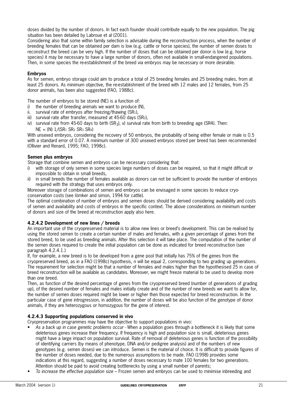doses divided by the number of donors. In fact each founder should contribute equally to the new population. The pig situation has been detailed by Labroue et al (2001).

Considering also that some within family selection is advisable during the reconstruction process, when the number of breeding females that can be obtained per dam is low (e.g. cattle or horse species), the number of semen doses to reconstruct the breed can be very high. If the number of doses that can be obtained per donor is low (e.g. horse species) it may be necessary to have a large number of donors, often not available in small-endangered populations. Then, in some species the re-establishment of the breed via embryos may be necessary or more desirable.

#### **Embryos**

As for semen, embryo storage could aim to produce a total of 25 breeding females and 25 breeding males, from at least 25 donors. As minimum objective, the re-establishment of the breed with 12 males and 12 females, from 25 donor animals, has been also suggested (FAO, 1988c).

The number of embryos to be stored (NE) is a function of:

- i) the number of breeding animals we want to produce (N),
- ii. survival rate of embryos after freezing/thawing  $(SR_1)$ ,
- iii) survival rate after transfer, measured at 45-60 days (SR2),
- iv) survival rate from 45-60 days to birth  $(SR_3)$ , v) survival rate from birth to breeding age (SR4). Then:
- $NE = (N)$   $1/(SR_1 SR_2 SR_3 SR_4)$

With unsexed embryos, considering the recovery of 50 embryos, the probability of being either female or male is 0.5 with a standard error of 0.07. A minimum number of 300 unsexed embryos stored per breed has been recommended (Ollivier and Renard, 1995; FAO, 1998c).

#### **Semen plus embryos**

Storage that combine semen and embryos can be necessary considering that:

- i) with storage of only semen in some species large numbers of doses can be required, so that it might difficult or impossible to obtain in small breeds,
- ii) in small breeds the number of females available as donors can not be sufficient to provide the number of embryos required with the strategy that uses embryos only.

Moreover storage of combinations of semen and embryos can be envisaged in some species to reduce cryoconservation costs (see lömker and simon, 1994 for cattle).

The optimal combination of number of embryos and semen doses should be derived considering availability and costs of semen and availability and costs of embryos in the specific context. The above considerations on minimum number of donors and size of the breed at reconstruction apply also here.

#### **4.2.4.2 Development of new lines / breeds**

An important use of the cryopreserved material is to allow new lines or breed's development. This can be realised by using the stored semen to create a certain number of males and females, with a given percentage of genes from the stored breed, to be used as breeding animals. After this selection it will take place. The computation of the number of the semen doses required to create the initial population can be done as indicated for breed reconstruction (see paragraph 4.2.4.1.)

If, for example, a new breed is to be developed from a gene pool that initially has 75% of the genes from the cryopreserved breed, as in a FAO (1998c) hypothesis, n will be equal 2, corresponding to two grading up generations. The requirement for selection might be that a number of females and males higher than the hypothesised 25 in case of breed reconstruction will be available as candidates. Moreover, we might freeze material to be used to develop more than one breed.

Then, as function of the desired percentage of genes from the cryopreserved breed (number of generations of grading up), of the desired number of females and males initially create and of the number of new breeds we want to allow for, the number of semen doses required might be lower or higher then those expected for breed reconstruction. In the particular case of gene introgression, in addition, the number of doses will be also function of the genotype of donor animals, if they are heterozygous or homozygous for the gene of interest.

#### **4.2.4.3 Supporting populations conserved in vivo**

Cryopreservation programmes may have the objective to support populations in vivo:

- As a back up in case genetic problems occur When a population goes through a bottleneck it is likely that some deleterious genes increase their frequency. If frequency is high and population size is small, deleterious genes might have a large impact on population survival. Rate of removal of deleterious genes is function of the possibility of identifying carriers (by means of phenotype, DNA and/or pedigree analysis) and of the numbers of new genotypes (e.g. semen doses) we can introduce. Semen is the material of choice. It is difficult to provide figures of the number of doses needed, due to the numerous assumptions to be made. FAO (1998) provides some indications at this regard, suggesting a number of doses necessary to mate 100 females for two generations. Attention should be paid to avoid creating bottlenecks by using a small number of parents;
- To increase the effective population size Frozen semen and embryos can be used to minimise inbreeding and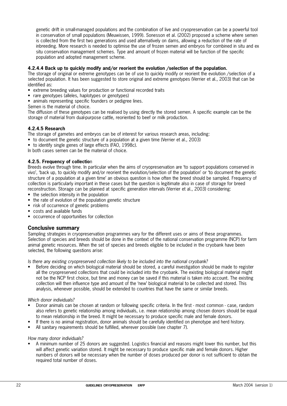genetic drift in small-managed populations and the combination of live and cryopreservation can be a powerful tool in conservation of small populations (Meuwissen, 1999). Sonesson et al. (2002) proposed a scheme where semen is collected from the first two generations and used alternatively on dams, allowing a reduction of the rate of inbreeding. More research is needed to optimise the use of frozen semen and embryos for combined in situ and ex situ conservation management schemes. Type and amount of frozen material will be function of the specific population and adopted management scheme.

#### **4.2.4.4 Back up to quickly modify and/or reorient the evolution /selection of the population.**

The storage of original or extreme genotypes can be of use to quickly modify or reorient the evolution /selection of a selected population. It has been suggested to store original and extreme genotypes (Verrier et al., 2003) that can be identified as:

- extreme breeding values for production or functional recorded traits
- rare genotypes (alleles, haplotypes or genotypes)
- animals representing specific founders or pedigree lines.
- Semen is the material of choice.

The diffusion of these genotypes can be realised by using directly the stored semen. A specific example can be the storage of material from dual-purpose cattle, reoriented to beef or milk production.

#### **4.2.4.5 Research**

- The storage of gametes and embryos can be of interest for various research areas, including:
- to document the genetic structure of a population at a given time (Verrier et al., 2003)
- to identify single genes of large effects (FAO, 1998c).
- In both cases semen can be the material of choice.

#### **4.2.5. Frequency of collectio**n

Breeds evolve through time. In particular when the aims of cryopreservation are 'to support populations conserved in vivo', 'back up, to quickly modify and/or reorient the evolution/selection of the population' or 'to document the genetic structure of a population at a given time' an obvious question is how often the breed should be sampled. Frequency of collection is particularly important in these cases but the question is legitimate also in case of storage for breed reconstruction. Storage can be planned at specific generation intervals (Verrier et al., 2003) considering:

- the selection intensity in the population
- the rate of evolution of the population genetic structure
- risk of occurrence of genetic problems
- costs and available funds
- occurrence of opportunities for collection

#### **Conclusive summary**

Sampling strategies in cryopreservation programmes vary for the different uses or aims of these programmes. Selection of species and breeds should be done in the context of the national conservation programme (NCP) for farm animal genetic resources. When the set of species and breeds eligible to be included in the cryobank have been selected, the following questions arise:

Is there any existing cryopreserved collection likely to be included into the national cryobank?

• Before deciding on which biological material should be stored, a careful investigation should be made to register all the cryopreserved collections that could be included into the cryobank. The existing biological material might not be the NCP first choice, but time and money can be saved if this material is taken into account. The existing collection will then influence type and amount of the 'new' biological material to be collected and stored. This analysis, whenever possible, should be extended to countries that have the same or similar breeds.

#### Which donor individuals?

- Donor animals can be chosen at random or following specific criteria. In the first most common case, random also refers to genetic relationship among individuals, i.e. mean relationship among chosen donors should be equal to mean relationship in the breed. It might be necessary to produce specific male and female donors.
- If there is no animal registration, donor animals should be carefully identified on phenotype and herd history.
- All sanitary requirements should be fulfilled, wherever possible (see chapter 7).

How many donor individuals?

• A minimum number of 25 donors are suggested. Logistics financial and reasons might lower this number, but this will affect genetic variation stored. It might be necessary to produce specific male and female donors. Higher numbers of donors will be necessary when the number of doses produced per donor is not sufficient to obtain the required total number of doses.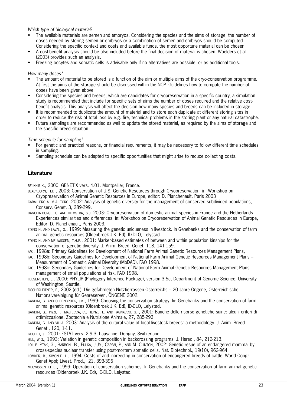Which type of biological material?

- The available materials are semen and embryos. Considering the species and the aims of storage, the number of doses needed by storing semen or embryos or a combination of semen and embryos should be computed. Considering the specific context and costs and available funds, the most opportune material can be chosen.
- A cost-benefit analysis should be also included before the final decision of material is chosen. Woelders et al. (2003) provides such an analysis.
- Freezing oocytes and somatic cells is advisable only if no alternatives are possible, or as additional tools.

How many doses?

- The amount of material to be stored is a function of the aim or multiple aims of the cryo-conservation programme. At first the aims of the storage should be discussed within the NCP. Guidelines how to compute the number of doses have been given above.
- Considering the species and breeds, which are candidates for cryopreservation in a specific country, a simulation study is recommended that include for specific sets of aims the number of doses required and the relative costbenefit analysis. This analysis will affect the decision how many species and breeds can be included in storage.
- It is recommended to duplicate the amount of material and to store each duplicate at different storing sites in order to reduce the risk of total loss by e.g. fire, technical problems in the storing plant or any natural catastrophe.
- Future samplings are recommended as well to update the stored material, as required by the aims of storage and the specific breed situation.

Time schedule for sampling?

- For genetic and practical reasons, or financial requirements, it may be necessary to follow different time schedules in sampling.
- Sampling schedule can be adapted to specific opportunities that might arise to reduce collecting costs.

## **Literature**

BELKHIR K., 2000: GENETIX vers. 4.01. Montpellier, France.

- BLACKBURN, H.D., 2003: Conservation of U.S. Genetic Resources through Cryopreservation, in: Workshop on Cryopreservation of Animal Genetic Resources in Europe, editor: D. Planchenault, Paris 2003
- CABALLERO A. M.A. TORO, 2002: Analysis of genetic diversity for the management of conserved subdivided populations, Conserv. Genet. 3, 289-299.
- DANCHIN-BURGE, C. AND HIEMSTRA, S.J. 2003: Cryopreservation of domestic animal species in France and the Netherlands Experiences similarities and differences, in: Workshop on Cryopreservation of Animal Genetic Resources in Europe, Editor: D. Planchenault, Paris 2003.
- EDING H. AND LAVAL, G., 1999: Measuring the genetic uniqueness in livestock. In Genebanks and the conservation of farm animal genetic resources (Oldenbroek J.K. Ed), ID-DLO, Lelystad
- EDING H. AND MEUWISSEN, T.H.E., 2001: Marker-based estimates of between and within population kinships for the conservation of genetic diversity. J. Anim. Breed. Genet. 118, 141-159.
- FAO, 1998a: Primary Guidelines for Development of National Farm Animal Genetic Resources Management Plans,
- FAO, 1998b: Secondary Guidelines for Development of National Farm Animal Genetic Resources Management Plans Measurement of Domestic Animal Diversity (MoDAD), FAO 1998.
- FAO, 1998c: Secondary Guidelines for Development of National Farm Animal Genetic Resources Management Plans management of small populations at risk, FAO 1998.
- FELSENSTEIN, J., 2000: PHYLIP (Phylogeny Inference Package), version 3.5c, Department of Genome Science, University of Washington, Seattle.
- FISCHERLEITNER, F., 2002 (ed.): Die gefährdeten Nutztierrassen Österreichs 20 Jahre Öngene, Österreichische Nationalvereinigung für Genreserven, ÖNGENE 2002.
- GANDINI, G. AND OLDENBROEK, J.K., 1999: Choosing the conservation strategy. In: Genebanks and the conservation of farm animal genetic resources (Oldenbroek J.K. Ed), ID-DLO, Lelystad.
- GANDINI, G., PIZZI, F., MALTECCA, C., HEINZL, E. AND PAGNACCO, G. , 2001: Banche delle risorse genetiche suine: alcuni criteri di ottimizzazione. Zootecnia e Nutrizione Animale, 27, 285-293.
- GANDINI, G. AND VILLA, 2003: Analysis of the cultural value of local livestock breeds: a methodology. J. Anim. Breed. Genet., 120, 1-11.
- GOUDET, J., 2001: FSTAT vers. 2.9.3. Lausanne, Dorigny, Switzerland.

HILL, W.G., 1993: Variation in genetic composition in backcrossing programs. J. Hered., 84, 212-213.

- LOI, P. PTAK, G., BARBONI, B., FULKA, J.JR., CAPPAI, P., AND M. CLINTON, 2002: Genetic resue of an endangered mammal by cross-species nuclear transfer using post-mortem somatic cells. Nat. Biotechnol., 19(10), 962-964.
- LÖMKER, R., SIMON D. L., 1994: Costs of and inbreeding in conservation of endangered breeds of cattle. World Congr. Genet Appl; Livest. Prod., 21, 393-396
- MEUWISSEN T.H.E., 1999: Operation of conservation schemes. In Genebanks and the conservation of farm animal genetic resources (Oldenbroek J.K. Ed), ID-DLO, Lelystad.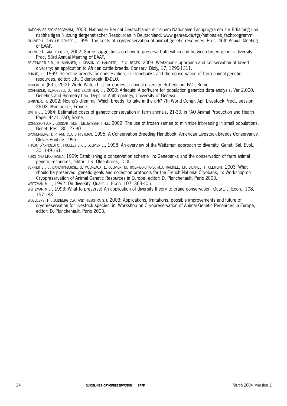- NATIONALES FACHPROGRAMM, 2003: Nationaler Bericht Deutschlands mit einem Nationalen Fachprogramm zur Erhaltung und nachhaltigen Nutzung tiergenetischer Ressourcen in Deutschland. www.genres.de/tgr/nationales\_fachprogramm
- OLLIVIER L. AND J.P. RENARD , 1995: The costs of cryopreservation of animal genetic resources. Proc. 46th Annual Meeting of EAAP.
- OLLIVIER L. AND FOULLEY, 2002: Some suggestions on how to preserve both within and between breed genetic diversity. Proc. 53rd Annual Meeting of EAAP.

REIST-MARTI S.B., H. SIMIANER, J. GIBSON, O. HANOTTE, J.E.O. REGES. 2003: Weitzman's approach and conservation of breed diversity: an application to African cattle breeds. Conserv. Bioly, 17, 1299-1311.

RUANE, J., 1999: Selecting breeds for conservation, in: Genebanks and the conservation of farm animal genetic resources, editor: J.K. Oldenbroek, ID-DLO.

SCHERF, B. (Ed.), 2000: World Watch List for domestic animal diversity. 3rd edition, FAO, Rome.

SCHNEIDER, S.,ROESSLI, D., AND EXCOFFIER, L., 2000: Arlequin: A software for population genetics data analysis. Ver 2.000. Genetics and Biometry Lab, Dept. of Anthropology, University of Geneva.

SIMIANER, H. 2002: Noahs's dilemma: Which breeds to take in the ark? 7th World Congr. Apl. Livestock Prod., session 26-02, Montpellier, France

SMITH C., 1984: Estimated costs of genetic conservation in farm animals, 21-30. in FAO Animal Production and Health Paper 44/1. FAO, Rome.

SONESSON A.K., GODDART M.E., MEUWISSEN T.H.E.,2002: The use of frozen semen to minimize inbreeding in small populations. Genet. Res., 80, 27-30.

SPONENBERG, D.P. AND C.J. CHRISTMAN, 1995: A Conservation Breeding Handbook, American Livestock Breeds Conservancy, Glover Printing 1995

THAON D'ARNOLDI C., FOULLEY J.-L., OLLIVIER L., 1998: An overview of the Weitzman approach to diversity. Genet. Sel. Evol., 30, 149-161.

TORO AND MAKI-TANILA, 1999: Establishing a conservation scheme in: Genebanks and the conservation of farm animal genetic resources, editor: J.K. Oldenbroek, ID-DLO.

VERRIER E., C. DANCHIN-BURGE, S. MOUREAUX, L. OLLIVIER, M. TIXIER-BOICHARD, M.J. MAIGNEL, J.P. BIDANEL, F. CLEMENT, 2003: What should be preserved: genetic goals and collection protocols for the French National Cryobank, in: Workshop on Cryopreservation of Animal Genetic Resources in Europe, editor: D. Planchenault, Paris 2003.

WEITZMAN M.L., 1992: On diversity. Quart. J. Econ. 107, 363-405.

WEITZMAN M.L;, 1993: What to preserve? An application of diversity theory to crane conservation. Quart. J. Econ., 108, 157-183.

WOELDERS, H., ZUIDBERG C.A. AND HIEMSTRA S.J. 2003: Applications, limitations, possible improvements and future of cryopreservation for livestock species. in: Workshop on Cryopreservation of Animal Genetic Resources in Europe, editor: D. Planchenault, Paris 2003.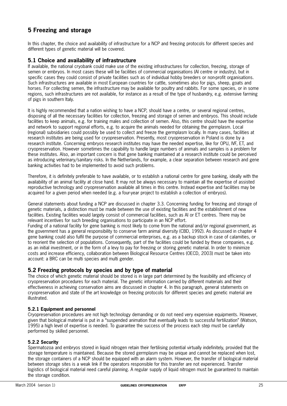# **5 Freezing and storage**

In this chapter, the choice and availability of infrastructure for a NCP and freezing protocols for different species and different types of genetic material will be covered.

## **5.1 Choice and availability of infrastructure**

If available, the national cryobank could make use of the existing infrastructures for collection, freezing, storage of semen or embryos. In most cases these will be facilities of commercial organisations (AI centre or industry), but in specific cases they could consist of private facilities such as of individual hobby breeders or non-profit organisations. Such infrastructures are available in most European countries for cattle, sometimes also for pigs, sheep, goats and horses. For collecting semen, the infrastructure may be available for poultry and rabbits. For some species, or in some regions, such infrastructures are not available, for instance as a result of the type of husbandry, e.g. extensive farming of pigs in southern Italy.

It is highly recommended that a nation wishing to have a NCP, should have a centre, or several regional centres, disposing of all the necessary facilities for collection, freezing and storage of semen and embryos. This should include facilities to keep animals, e.g. for training males and collection of semen. Also, this centre should have the expertise and network to support regional efforts, e.g. to acquire the animals needed for obtaining the germplasm. Local (regional) subsidiaries could possibly be used to collect and freeze the germplasm locally. In many cases, facilities at research institutes are being used for cryopreservation. Presently, most cryopreservation in Poland is done by a research institute. Concerning embryos research institutes may have the needed expertise, like for OPU, IVF, ET, and cryopreservation. However sometimes the capability to handle large numbers of animals and samples is a problem for these institutes. Also, an important concern is that gene banking maintained at a research institute could be perceived as introducing veterinary/sanitary risks. In the Netherlands, for example, a clear separation between research and gene banking activities had to be implemented to avoid such problems.

Therefore, it is definitely preferable to have available, or to establish a national centre for gene banking, ideally with the availability of an animal facility at close hand. It may not be always necessary to maintain all the expertise of assisted reproductive technology and cryopreservation available all times in this centre. Instead expertise and facilities may be acquired for a given period when needed (e.g. a four-year project to establish a collection of embryos).

General statements about funding a NCP are discussed in chapter 3.3. Concerning funding for freezing and storage of genetic materials, a distinction must be made between the use of existing facilities and the establishment of new facilities. Existing facilities would largely consist of commercial facilities, such as AI or ET centres. There may be relevant incentives for such breeding organisations to participate in an NCP effort.

Funding of a national facility for gene banking is most likely to come from the national and/or regional government, as the government has a general responsibility to conserve farm animal diversity (CBD, 1992). As discussed in chapter 4 gene banking could also fulfil the purpose of commercial enterprises, e.g. as a backup stock in case of calamities, or to reorient the selection of populations. Consequently, part of the facilities could be funded by these companies, e.g. as an initial investment, or in the form of a levy to pay for freezing or storing genetic material. In order to minimize costs and increase efficiency, collaboration between Biological Resource Centres (OECD, 2003) must be taken into account: a BRC can be multi species and multi gender.

#### **5.2 Freezing protocols by species and by type of material**

The choice of which genetic material should be stored is in large part determined by the feasibility and efficiency of cryopreservation procedures for each material. The genetic information carried by different materials and their effectiveness in achieving conservation aims are discussed in chapter 4. In this paragraph, general statements on cryopreservation and state of the art knowledge on freezing protocols for different species and genetic material are illustrated.

#### **5.2.1 Equipment and personnel**

Cryopreservation procedures are not high technology demanding or do not need very expensive equipments. However, given that biological material is put in a "suspended animation that eventually leads to successful fertilization" (Watson, 1995) a high level of expertise is needed. To guarantee the success of the process each step must be carefully performed by skilled personnel.

#### **5.2.2 Security**

Spermatozoa and embryos stored in liquid nitrogen retain their fertilising potential virtually indefinitely, provided that the storage temperature is maintained. Because the stored germplasm may be unique and cannot be replaced when lost, the storage containers of a NCP should be equipped with an alarm system. However, the transfer of biological material between storage sites is a weak link if the operators responsible for this transfer are not experienced. Transfer logistics of biological material need careful planning. A regular supply of liquid nitrogen must be guaranteed to maintain the storage condition.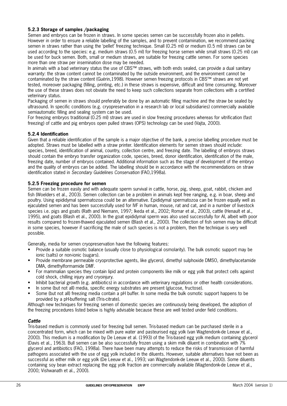## **5.2.3 Storage of samples /packaging**

Semen and embryos can be frozen in straws. In some species semen can be successfully frozen also in pellets. However in order to ensure a reliable labelling of the samples, and to prevent contamination, we recommend packing semen in straws rather than using the 'pellet' freezing technique. Small (0.25 ml) or medium (0.5 ml) straws can be used according to the species: e.g. medium straws (0.5 ml) for freezing horse semen while small straws (0.25 ml) can be used for buck semen. Both, small or medium straws, are suitable for freezing cattle semen. For some species more than one straw per insemination dose may be needed.

In animals with a bad veterinary status the use of CBS™ straws, with both ends sealed, can provide a dual sanitary warranty: the straw content cannot be contaminated by the outside environment, and the environment cannot be contaminated by the straw content (Guérin,1998). However semen freezing protocols in CBS™ straws are not yet tested, moreover packaging (filling, printing, etc.) in these straws is expensive, difficult and time consuming. Moreover the use of these straws does not obviate the need to keep such collections separate from collections with a certified veterinary status.

Packaging of semen in straws should preferably be done by an automatic filling machine and the straw be sealed by ultrasound. In specific conditions (e.g. cryopreservation in a research lab or local subsidiaries) commercially available semiautomatic filling and sealing system can be used.

For freezing embryos traditional (0.25 ml) straws are used in slow freezing procedures whereas for vitrification (fast freezing) of cattle and pig embryos open pulled straws (OPS) technology can be used (Vajta, 2000).

#### **5.2.4 Identification**

Given that a reliable identification of the sample is a major objective of the bank, a precise labelling procedure must be adopted. Straws must be labelled with a straw printer. Identification elements for semen straws should include: species, breed, identification of animal, country, collection centre, and freezing date. The labelling of embryos straws should contain the embryo transfer organization code, species, breed, donor identification, identification of the male, freezing date, number of embryos contained. Additional information such as the stage of development of the embryo and the quality of embryos can be added. The labelling should be in accordance with the recommendations on straw identification stated in Secondary Guidelines Conservation (FAO,1998a).

#### **5.2.5 Freezing procedure for semen**

Semen can be frozen easily and with adequate sperm survival in cattle, horse, pig, sheep, goat, rabbit, chicken and fish (Woelders et al., 2003). Semen collection can be a problem in animals kept free ranging, e.g. in boar, sheep and poultry. Using epididymal spermatozoa could be an alternative. Epididymal spermatozoa can be frozen equally well as ejaculated semen and has been successfully used for IVF in human, mouse, rat and cat, and in a number of livestock species i.e. pigs and goats (Rath and Niemann, 1997; Ikeda et al., 2002; Romar et al., 2003), cattle (Henault et al., 1995), and goats (Blash et al., 2000). In the goat epididymal sperm was also used successfully for AI, albeit with poor results compared to frozen-thawed ejaculated semen (Blash et al., 2000). The collection of fish semen may be difficult in some species, however if sacrificing the male of such species is not a problem, then the technique is very well possible.

Generally, media for semen cryopreservation have the following features:

- Provide a suitable osmotic balance (usually close to physiological osmolarity). The bulk osmotic support may be ionic (salts) or non-ionic (sugars).
- Provide membrane permeable cryoprotective agents, like glycerol, dimethyl sulphoxide DMSO, dimethylacetamide DMA, dimethylformamide DMF.
- For mammalian species they contain lipid and protein components like milk or egg yolk that protect cells against cold shock, chilling injury and cryoinjury.
- Inhibit bacterial growth (e.g. antibiotics) in accordance with veterinary regulations or other health considerations.
- In some (but not all) media, specific energy substrates are present (glucose, fructose).
- Some (but not all) freezing media contain a pH buffer. In some media the bulk osmotic support happens to be provided by a pH-buffering salt (Tris-citrate).

Although new techniques for freezing semen of domestic species are continuously being developed, the adoption of the freezing procedures listed below is highly advisable because these are well tested under field conditions.

#### **Cattle**

Tris-based medium is commonly used for freezing bull semen. Tris-based medium can be purchased sterile in a concentrated form, which can be mixed with pure water and pasteurised egg yolk (van Wagtendonk-de Leeuw et al., 2000). This medium is a modification by De Leeuw et al. (1993) of the Tris-based egg yolk medium containing glycerol (Davis et al., 1963). Bull semen can be also successfully frozen using a skim milk diluent in combination with 7% glycerol and antibiotics (FAO, 1998a). There have been many attempts to reduce the risks of transmission of harmful pathogens associated with the use of egg yolk included in the diluents. However, suitable alternatives have not been as successful as either milk or egg yolk (De Leeuw et al., 1993; van Wagtendonk-de Leeuw et al., 2000). Some diluents containing soy bean extract replacing the egg yolk fraction are commercially available (Wagtendonk-de Leeuw et al., 2000; Vishwanath et al., 2000).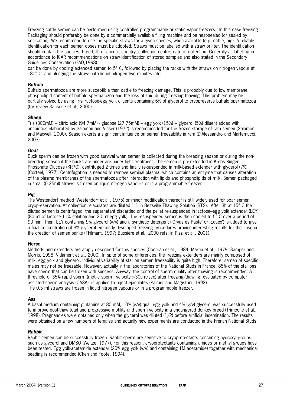Freezing cattle semen can be performed using controlled programmable or static vapor freezers. In this case freezing Packaging should preferably be done by a commercially available filling machine and be heat-sealed (or sealed by sonication). We recommend to use the specific straws for a given species, when available (e.g. cattle, pig). A reliable identification for each semen doses must be adopted. Straws must be labelled with a straw printer. The identification should contain the species, breed, ID of animal, country, collection centre, date of collection. Generally all labelling in accordance to ICAR recommendations on straw identification of stored samples and also stated in the Secondary Guidelines Conservation (FAO,1998).

can be done by cooling extended semen to 5° C, followed by placing the racks with the straws on nitrogen vapour at –80° C, and plunging the straws into liquid nitrogen two minutes later.

#### **Buffalo**

Buffalo spermatozoa are more susceptible than cattle to freezing damage. This is probably due to low membrane phospholipid content of buffalo spermatozoa and the loss of lipid during freezing thawing. This problem may be partially solved by using Tris-fructose-egg yolk diluents containing 6% of glycerol to cryopreserve buffalo spermatozoa (for review Sansone et al., 2000).

#### **Sheep**

Tris (300mM) – citric acid (94.7mM) - glucose (27.75mM) – egg yolk (15%) – glycerol (5%) diluent added with antibiotics elaborated by Salamon and Visser (1972) is recommended for the frozen storage of ram semen (Salamon and Maxwell, 2000). Season exerts a significant influence on semen freezability in ram (D'Alessandro and Martemucci, 2003).

#### **Goat**

Buck sperm can be frozen with good survival when semen is collected during the breeding season or during the nonbreeding season if the bucks are under are under light treatment. The semen is pre-extended in Krebs Ringer Phosphate Glucose (KRPG), centrifuged 2 times and finally re-suspended in milk-based extender with glycerol (7%) (Corteel, 1977). Centrifugation is needed to remove seminal plasma, which contains an enzyme that causes alteration of the plasma membranes of the spermatozoa after interaction with lipids and phospholipids of milk. Semen packaged in small (0.25ml) straws is frozen on liquid nitrogen vapours or in a programmable freezer.

#### **Pig**

The Westendorf method (Westendorf et al., 1975) or minor modification thereof is still widely used for boar semen cryopreservation. At collection, ejaculates are diluted 1:1 in Beltsville Thawing Solution (BTS). After 3h at 15° C the diluted semen is centrifuged, the supernatant discarded and the pellet re-suspended in lactose–egg yolk extender (LEY) (80 ml of lactose 11% solution and 20 ml egg yolk). The resuspended semen is then cooled to 5° C over a period of 90 min. Then, LEY containing 9% glycerol (v/v) and a synthetic detergent ('Orvus es Paste' or 'Equex') is added to give a final concentration of 3% glycerol. Recently developed freezing procedures provide interesting results for their use in the creation of semen banks (Thilmant, 1997; Bussière et al., 2000 refs. in Pizzi et al., 2001).

#### **Horse**

Methods and extenders are amply described for this species (Cochran et al., 1984; Martin et al., 1979; Samper and Morris, 1998; Vidament et al., 2000). In spite of some differences, the freezing extenders are mainly composed of milk, egg yolk and glycerol. Individual variability of stallion semen freezability is quite high. Therefore, semen of specific males may not be freezable. However, actually in the laboratories of the National Studs in France, 85% of the stallions have sperm that can be frozen with success. Anyway, the control of sperm quality after thawing is recommended. A threshold of 35% rapid sperm (motile sperm, velocity >30µm/sec) after freezing/thawing, evaluated by computer assisted sperm analysis (CASA), is applied to reject ejaculates (Palmer and Magistrini, 1992). The 0.5 ml straws are frozen in liquid nitrogen vapours or in a programmable freezer.

#### **Ass**

A basal medium containing glutamine at 80 mM, 10% (v/v) quail egg yolk and 4% (v/v) glycerol was successfully used to improve post-thaw total and progressive motility and sperm velocity in a endangered donkey breed (Trimeche et al., 1998). Pregnancies were obtained only when the glycerol was diluted (1/2) before artificial insemination. The results were obtained on a few numbers of females and actually new experiments are conducted in the French National Studs.

#### **Rabbit**

Rabbit semen can be successfully frozen. Rabbit sperm are sensitive to cryoprotectants containing hydroxyl groups such as glycerol and DMSO (Weitze, 1977). For this reason, cryoprotectants containing amides or methyl groups have been tested. Egg yolk-acetamide extender (20% egg yolk (v/v) and containing 1M acetamide) together with mechanical seeding is recommended (Chen and Foote, 1994).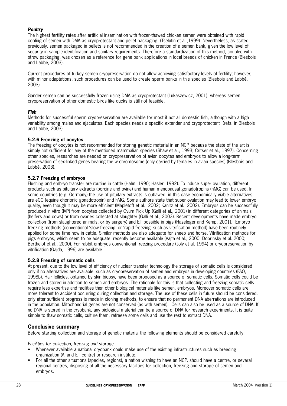### **Poultry**

The highest fertility rates after artificial insemination with frozen-thawed chicken semen were obtained with rapid cooling of semen with DMA as cryoprotectant and pellet packaging. (Tselutin et al.,1999). Nevertheless, as stated previously, semen packaged in pellets is not recommended in the creation of a semen bank, given the low level of security in sample identification and sanitary requirements. Therefore a standardization of this method, coupled with straw packaging, was chosen as a reference for gene bank applications in local breeds of chicken in France (Blesbois and Labbé, 2003).

Current procedures of turkey semen cryopreservation do not allow achieving satisfactory levels of fertility; however, with minor adaptations, such procedures can be used to create sperm banks in this species (Blesbois and Labbé, 2003).

Gander semen can be successfully frozen using DMA as cryoprotectant (Lukaszewicz, 2001), whereas semen cryopreservation of other domestic birds like ducks is still not feasible.

#### **Fish**

Methods for successful sperm cryopreservation are available for most if not all domestic fish, although with a high variability among males and ejaculates. Each species needs a specific extender and cryoprotectant (refs. in Blesbois and Labbé, 2003)

#### **5.2.6 Freezing of oocytes**

The freezing of oocytes is not recommended for storing genetic material in an NCP because the state of the art is simply not sufficient for any of the mentioned mammalian species (Shaw et al., 1993; Critser et al., 1997). Concerning other species, researches are needed on cryopreservation of avian oocytes and embryos to allow a long-term preservation of sex-linked genes bearing the w chromosome (only carried by females in avian species) (Blesbois and Labbé, 2003).

## **5.2.7 Freezing of embryos**

Flushing and embryo transfer are routine in cattle (Hahn, 1990; Hasler, 1992). To induce super ovulation, different products such as pituitary extracts (porcine and ovine) and human menopausal gonadotropins (hMG) can be used. In some countries (e.g. Germany) the use of pituitary extracts is outlawed, in this case economically viable alternatives are eCG (equine chorionic gonadotropin) and hMG. Some authors state that super ovulation may lead to lower embryo quality, even though it may be more efficient (Mapletoft et al., 2002; Kanitz et al., 2002). Embryos can be successfully produced in vitro (IVP) from oocytes collected by Ovum Pick Up (Galli et al., 2001) in different categories of animals (heifers and cows) or from ovaries collected at slaughter (Galli et al., 2003). Recent developments have made embryo collection (from slaughtered animals, or by surgery) and ET possible in pigs (Hazeleger and Kemp, 2001). Embryo freezing methods (conventional 'slow freezing' or 'rapid freezing' such as vitrification method) have been routinely applied for some time now in cattle. Similar methods are also adequate for sheep and horse. Vitrification methods for pigs embryos, which seem to be adequate, recently become available (Vajta et al., 2000; Dobrinsky et al.,2000; Berthelot et al., 2000). For rabbit embryos conventional freezing procedure (Joly et al, 1994) or cryopreservation by vitrification (Gajda, 1996) are available.

#### **5.2.8 Freezing of somatic cells**

At present, due to the low level of efficiency of nuclear transfer technology the storage of somatic cells is considered only if no alternatives are available, such as cryopreservation of semen and embryos in developing countries (FAO, 1998b). Hair follicles, obtained by skin biopsy, have been proposed as a source of somatic cells. Somatic cells could be frozen and stored in addition to semen and embryos. The rationale for this is that collecting and freezing somatic cells require less expertise and facilities then other biological materials like semen, embryos. Moreover somatic cells are more tolerant to accident occurring during collection and storage. The use of these cells in future should be considered, only after sufficient progress is made in cloning methods, to ensure that no permanent DNA aberrations are introduced in the population. Mitochondrial genes are not conserved (as with semen). Cells can also be used as a source of DNA. If no DNA is stored in the cryobank, any biological material can be a source of DNA for research experiments. It is quite simple to thaw somatic cells, culture them, refreeze some cells and use the rest to extract DNA.

# **Conclusive summary**

Before starting collection and storage of genetic material the following elements should be considered carefully:

Facilities for collection, freezing and storage

- Whenever available a national cryobank could make use of the existing infrastructures such as breeding organization (AI and ET centre) or research institute.
- For all the other situations (species, regions), a nation wishing to have an NCP, should have a centre, or several regional centres, disposing of all the necessary facilities for collection, freezing and storage of semen and embryos.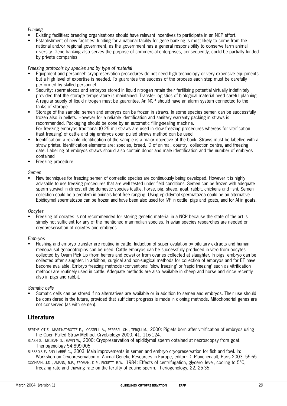#### Funding

- Existing facilities: breeding organisations should have relevant incentives to participate in an NCP effort.
- Establishment of new facilities: funding for a national facility for gene banking is most likely to come from the national and/or regional government, as the government has a general responsibility to conserve farm animal diversity. Gene banking also serves the purpose of commercial enterprises, consequently, could be partially funded by private companies

#### Freezing protocols by species and by type of material

- Equipment and personnel: cryopreservation procedures do not need high technology or very expensive equipments but a high level of expertise is needed. To guarantee the success of the process each step must be carefully performed by skilled personnel
- Security: spermatozoa and embryos stored in liquid nitrogen retain their fertilising potential virtually indefinitely provided that the storage temperature is maintained. Transfer logistics of biological material need careful planning. A regular supply of liquid nitrogen must be guarantee. An NCP should have an alarm system connected to the tanks of storage
- Storage of the sample: semen and embryos can be frozen in straws. In some species semen can be successfully frozen also in pellets. However for a reliable identification and sanitary warranty packing in straws is recommended. Packaging should be done by an automatic filling-sealing machine. For freezing embryos traditional (0.25 ml) straws are used in slow freezing procedures whereas for vitrification (fast freezing) of cattle and pig embryos open pulled straws method can be used
- Identification: a reliable identification of the sample is a major objective of the bank. Straws must be labelled with a straw printer. Identification elements are: species, breed, ID of animal, country, collection centre, and freezing date. Labelling of embryos straws should also contain donor and male identification and the number of embryos contained
- Freezing procedure

#### Semen

New techniques for freezing semen of domestic species are continuously being developed. However it is highly advisable to use freezing procedures that are well tested under field conditions. Semen can be frozen with adequate sperm survival in almost all the domestic species (cattle, horse, pig, sheep, goat, rabbit, chickens and fish). Semen collection could be a problem in animals kept free ranging. Using epididymal spermatozoa could be an alternative. Epididymal spermatozoa can be frozen and have been also used for IVF in cattle, pigs and goats, and for AI in goats.

#### **Oocytes**

• Freezing of oocytes is not recommended for storing genetic material in a NCP because the state of the art is simply not sufficient for any of the mentioned mammalian species. In avian species researches are needed on cryopreservation of oocytes and embryos.

#### Embryos

• Flushing and embryo transfer are routine in cattle. Induction of super ovulation by pituitary extracts and human menopausal gonadotropins can be used. Cattle embryos can be successfully produced in vitro from oocytes collected by Ovum Pick Up (from heifers and cows) or from ovaries collected at slaughter. In pigs, embryo can be collected after slaughter. In addition, surgical and non-surgical methods for collection of embryos and for ET have become available. Embryo freezing methods (conventional 'slow freezing' or 'rapid freezing' such as vitrification method) are routinely used in cattle. Adequate methods are also available in sheep and horse and since recently also in pigs and rabbit.

#### Somatic cells

• Somatic cells can be stored if no alternatives are available or in addition to semen and embryos. Their use should be considered in the future, provided that sufficient progress is made in cloning methods. Mitochondrial genes are not conserved (as with semen).

# **Literature**

- BERTHELOT F., MARTINAT-BOTTÉ F., LOCATELLI A., PERREAU CH., TERQUI M., 2000: Piglets born after vitrification of embryos using the Open Pulled Straw Method. Cryobiology 2000. 41, 116-124.
- BLASH S., MELICAN D., GAVIN W., 2000: Cryopreservation of epididymal sperm obtained at necroscopsy from goat. Theriogenology 54:899-905
- BLESBOIS E. AND LABBÉ C., 2003: Main improvements in semen and embryo cryopreservation for fish and fowl. In: Workshop on Cryopreservation of Animal Genetic Resources in Europe, editor: D. Planchenault, Paris 2003. 55-65
- COCHRAN, J.D., AMANN, R.P., FROMAN, D.P., PICKETT, B.W., 1984: Effects of centrifugation, glycerol level, cooling to 5°C, freezing rate and thawing rate on the fertility of equine sperm. Theriogenology, 22, 25-35.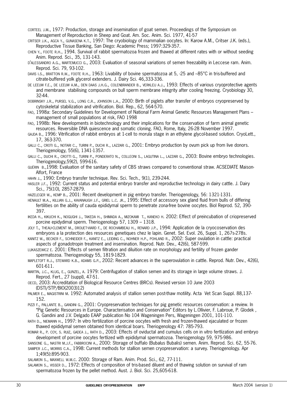- CORTEEL J.M., 1977: Production, storage and insemination of goat semen. Proceedings of the Symposium on Management of Reproduction in Sheep and Goat. Am. Soc. Anim. Sci. 1977, 41-57
- CRITSER J.K., AGCA Y., GUNASENA K.T., 1997: The cryobiology of mammalian oocytes. In: Karow A.M., Critser J.K. (eds.), Reproductive Tissue Banking, San Diego: Academic Press; 1997:329-357.
- CHEN Y., FOOTE R.H., 1994. Survival of rabbit spermatozoa frozen and thawed at different rates with or without seeding Anim. Reprod. Sci., 35, 131-143.
- D'ALESSANDRO A.G., MARTEMUCCI G., 2003: Evaluation of seasonal variations of semen freezability in Leccese ram. Anim. Reprod. Sci. 79, 93-102.
- DAVIS I.S., BRATTON R.W., FOOTE R.H., 1963: Livability of bovine spermatozoa at 5, -25 and -85°C in tris-buffered and citrate-buffered yolk glycerol extenders. J. Dairy Sci. 46,333-336.
- DE LEEUW F.E., DE LEEUW A.M., DEN DAAS J.H.G., COLENBRANDER B., VERKLEIJ A.J., 1993: Effects of various cryoprotective agents and membrane stabilising compounds on bull sperm membrane integrity after cooling freezing. Cryobiology 30, 32-44.
- DOBRINSKY J.R., PURSEL V.G., LONG C.R., JOHNSON L.A., 2000: Birth of piglets after transfer of embryos cryopreserved by cytoskeletal stabilization and vitrification. Biol. Rep., 62, 564-570.
- FAO, 1998a: Secondary Guidelines for Development of National Farm Animal Genetic Resources Management Plans management of small populations at risk, FAO 1998
- FAO, 1998b: New developments in biotechnology and their implications for the conservation of farm animal genetic resources. Reversible DNA quiescence and somatic cloning. FAO, Rome, Italy, 26-28 November 1997.
- GAJDA B., 1996: Vitrification of rabbit embryos at 1-cell to morula stage in an ethylene glycol-based solution. CryoLett., 17, 363-370.
- GALLI C., CROTI G., NOTARI C., TURINI P., DUCHI R., LAZZARI G., 2001: Embryo production by ovum pick up from live donors. Theriogenology, 55(6), 1341-1357.
- GALLI C., DUCHI R., CROTTI G., TURINI P., PONDERATO N., COLLEONI S., LAGUTINA L., LAZZARI G., 2003: Bovine embryo technologies. Theriogenology,59(2), 599-616.
- GUÉRIN B.,1998: Evaluation of the sanitary safety of CBS straws compared to conventional straw. ACSEDIATE Maison-Alfort, France
- HAHN J., 1990: Embryo transfer technique. Rev. Sci. Tech., 9(1), 239-244.
- HASLER J.F., 1992: Current status and potential embryo transfer and reproductive technology in dairy cattle. J. Dairy Sci., 75(10), 2857-2879.
- HAZELEGER W., KEMP B., 2001: Recent development in pig embryo transfer. Theriogenology, 56: 1321-1331.
- HENAULT M.A., KILLIAN G.J., KAVANAUGH J.F., GRIEL L.C. JR., 1995: Effect of accessory sex gland fluid from bulls of differing fertilities on the ability of cauda epididymal sperm to penetrate zona-free bovine oocytes. Biol Reprod. 52, 390- 397.
- IKEDA H., KIKUCHI K., NOGUGHI J., TAKEDA H., SHIMADA A., MIZOKAMI T., KANEKO H. 2002: Effect of preincubation of criopreserved porcine epidydimal sperm. Theriogenology 57, 1309 – 1318.
- JOLY T., THEAU-CLEMENT M., DROUET-VIARD F., DE ROCHAMBEAU H., RENARD J.P., 1994: Application de la cryocoservation des embryons a la protection des resources genetiques chez le lapin. Genet. Sel. Evol. 26, Suppl. 1, 267s-278s.
- KANITZ W., BECKER F., SCHNEIDER F., KANITZ E., LEIDING C., NOHNER H.P., POHLAND R., 2002: Super ovulation in cattle: practical aspects of gonadotropin treatment and insemination. Reprod. Nutr. Dev., 42(6), 587-599.
- LUKASZEWICZ E. 2001: Effects of semen filtration and diluition rate on morphology and fertility of frozen gander spermatozoa. Theriogenology 55, 1819-1829.
- MAPLETOFT R.J., STEWARD K.B., ADAMS G.P., 2002: Recent advances in the superovulation in cattle. Reprod. Nutr. Dev., 42(6), 601-611.
- MARTIN, J.C., KLUG, E., GUNZEL, A. 1979: Centrifugation of stallion semen and its storage in large volume straws. J. Reprod. Fert., 27 (suppl), 47-51.
- OECD, 2003: Accreditation of Biological Resource Centres (BRCs). Revised version 10 June 2003 (DSTI/STP/BIO(2003)12)
- PALMER E., MAGISTRINI M. 1992: Automated analysis of stallion semen post-thaw motility. Acta Vet Scan Suppl. 88,137- 152.
- PIZZI F., PALLANTE B., GANDINI G., 2001: Cryopreservation techniques for pig genetic resources conservation: a review. In "Pig Genetic Resources in Europe. Characterisation and Conservation" Editors by L.Ollivier, F. Labroue, P. Glodek , G. Gandini and J.V. Delgado EAAP publication No 104 Wageningen Pers, Wageningen 2001, 101-110.
- RATH D., NIEMANN H., 1997: In vitro fertilization of porcine oocytes with fresh and frozen-thawed ejaculated or frozen thawed epididymal semen obtained from identical boars. Theriogenology 47: 785-793.
- ROMAR R., P. COY, S. RUIZ, GADEA J., RATH D., 2003: Effects of oviductal and cumulus cells on in vitro fertlization and embryo development of porcine oocytes fertlized with epididymal spermatozoa. Theriogenology 59, 975-986.
- SANSONE G., NASTRI M.J.F., FABBROCINI A., 2000: Storage of buffalo (Bubalus Bubalis) semen. Anim. Reprod. Sci. 62, 55-76.
- SAMPER J.C., MORRIS C.A., 1998: Current methods for stallion semen cryopreservation: a survey. Theriogenology. Apr 1;49(5):895-903.
- SALAMON S., MAXWELL W.M.C. 2000: Storage of Ram. Anim. Prod. Sci., 62, 77-111.

SALAMON S., VISSER D., 1972: Effects of composition of tris-based diluent and of thawing solution on survival of ram spermatozoa frozen by the pellet method. Aust. J. Biol. Sci. 25,605-618.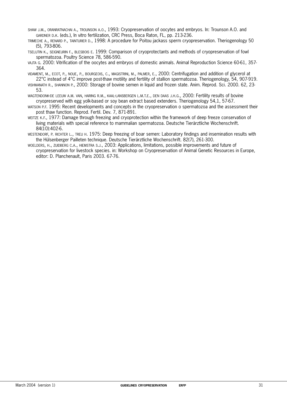- SHAW J.M., ORANRATNACHAI A., TROUNSON A.O., 1993: Cryopreservation of oocytes and embryos. In: Trounson A.O. and GARDNER D.K. (eds.), In vitro fertilization, CRC Press, Boca Raton, FL, pp. 213-236.
- TRIMECHE A., RENARD P., TAINTURIER D., 1998: A procedure for Poitou jackass sperm cryopreservation. Theriogenology 50 (5), 793-806.
- TSELUTIN K., SEIGNEURIN F., BLESBOIS E. 1999: Comparison of cryoprotectants and methods of cryopreservation of fowl spermatozoa. Poultry Science 78, 586-590.
- VAJTA G. 2000: Vitrification of the oocytes and embryos of domestic animals. Animal Reproduction Science 60-61, 357- 364.
- VIDAMENT, M., ECOT, P., NOUE, P., BOURGEOIS, C., MAGISTRINI, M., PALMER, E., 2000: Centrifugation and addition of glycerol at 22°C instead of 4°C improve post-thaw motility and fertility of stallion spermatozoa. Theriogenology, 54, 907-919.
- VISHWANATH R., SHANNON P., 2000: Storage of bovine semen in liquid and frozen state. Anim. Reprod. Sci. 2000. 62, 23- 53.
- WAGTENDONK-DE LEEUW A.M. VAN, HARING R.M., KAAL-LANSBERGEN L.M.T.E., DEN DAAS J.H.G., 2000: Fertility results of bovine cryopreserved with egg yolk-based or soy bean extract based extenders. Theriogenology 54,1, 57-67.
- WATSON P.F. 1995: Recent developments and concepts in the cryopreservation o spermatozoa and the assessment their post thaw function. Reprod. Fertil. Dev. 7, 871-891.
- WEITZE K.F., 1977: Damage through freezing and cryoprotection within the framework of deep freeze conservation of living materials with special reference to mammalian spermatozoa. Deutsche Tierärztliche Wochenschrift. 84(10):402-6.
- WESTENDORF, P. RICHTER L., TREU H. 1975: Deep freezing of boar semen: Laboratory findings and insemination results with the Hülsenberger Pailleten technique. Deutsche Tierärztliche Wochenschrift. 82(7), 261-300.
- WOELDERS, H., ZUIDBERG C.A., HIEMSTRA S.J., 2003: Applications, limitations, possible improvements and future of cryopreservation for livestock species. in: Workshop on Cryopreservation of Animal Genetic Resources in Europe, editor: D. Planchenault, Paris 2003. 67-76.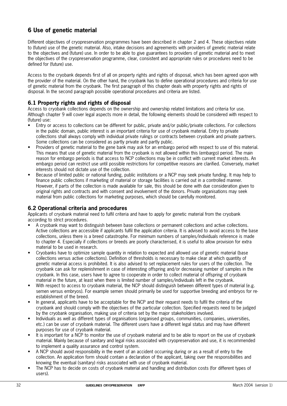# **6 Use of genetic material**

Different objectives of cryopreservation programmes have been described in chapter 2 and 4. These objectives relate to (future) use of the genetic material. Also, intake decisions and agreements with providers of genetic material relate to the objectives and (future) use. In order to be able to give guarantees to providers of genetic material and to meet the objectives of the cryopreservation programme, clear, consistent and appropriate rules or procedures need to be defined for (future) use.

Access to the cryobank depends first of all on property rights and rights of disposal, which has been agreed upon with the provider of the material. On the other hand, the cryobank has to define operational procedures and criteria for use of genetic material from the cryobank. The first paragraph of this chapter deals with property rights and rights of disposal. In the second paragraph possible operational procedures and criteria are listed.

# **6.1 Property rights and rights of disposal**

Access to cryobank collections depends on the ownership and ownership related limitations and criteria for use. Although chapter 9 will cover legal aspects more in detail, the following elements should be considered with respect to (future) use:

- Entry or access to collections can be different for public, private and/or public/private collections. For collections in the public domain, public interest is an important criteria for use of cryobank material. Entry to private collections shall always comply with individual private rulings or contracts between cryobank and private partners. Some collections can be considered as partly private and partly public.
- Providers of genetic material to the gene bank may ask for an embargo period with respect to use of this material. This means that use of genetic material from the cryobank is not allowed within this (embargo) period. The main reason for embargo periods is that access to NCP collections may be in conflict with current market interests. An embargo period can restrict use until possible restrictions for competitive reasons are clarified. Conversely, market interests should not dictate use of the collection.
- Because of limited public or national funding, public institutions or a NCP may seek private funding. It may help to finance public collections if marketing of material or storage facilities is carried out in a controlled manner. However, if parts of the collection is made available for sale, this should be done with due consideration given to original rights and contracts and with consent and involvement of the donors. Private organisations may seek material from public collections for marketing purposes, which should be carefully monitored.

# **6.2 Operational criteria and procedures**

Applicants of cryobank material need to fulfil criteria and have to apply for genetic material from the cryobank according to strict procedures.

- A cryobank may want to distinguish between base collections or permanent collections and active collections. Active collections are accessible if applicants fulfil the application criteria. It is advised to avoid access to the base collections, unless there is a breed catastrophe. For minimum numbers of samples/individuals reference is made to chapter 4. Especially if collections or breeds are poorly characterised, it is useful to allow provision for extra material to be used in research.
- Cryobanks have to optimize sample quantity in relation to expected and allowed use of genetic material (base collections versus active collections). Definition of thresholds is necessary to make clear at which quantity of genetic material access is prohibited. It is also advised to set replacement rules for users of the collection. The cryobank can ask for replenishment in case of interesting offspring and/or decreasing number of samples in the cryobank. In this case, users have to agree to cooperate in order to collect material of offspring of cryobank material in the future, at least when there is limited number of samples/individuals left in the cryobank.
- With respect to access to cryobank material, the NCP should distinguish between different types of material (e.g. semen versus embryos). For example semen should primarily be used for supportive breeding and embryos for reestablishment of the breed.
- In general, applicants have to be acceptable for the NCP and their request needs to fulfil the criteria of the cryobank and should comply with the objectives of the particular collection. Specified requests need to be judged by the cryobank organisation, making use of criteria set by the major stakeholders involved.
- Individuals as well as different types of organisations (organised groups, communities, companies, universities, etc.) can be user of cryobank material. The different users have a different legal status and may have different purposes for use of cryobank material.
- It is important for a NCP to monitor the use of cryobank material and to be able to report on the use of cryobank material. Mainly because of sanitary and legal risks associated with cryopreservation and use, it is recommended to implement a quality assurance and control system.
- A NCP should avoid responsibility in the event of an accident occurring during or as a result of entry to the collection. An application form should contain a declaration of the applicant, taking over the responsibilities and knowing the eventual (sanitary) risks associated with use of cryobank material.
- The NCP has to decide on costs of cryobank material and handling and distribution costs (for different types of users).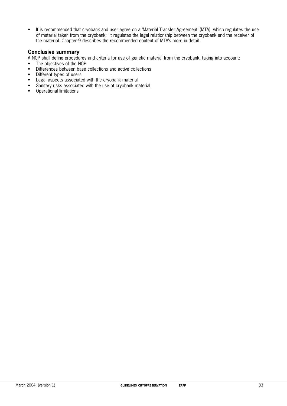• It is recommended that cryobank and user agree on a 'Material Transfer Agreement' (MTA), which regulates the use of material taken from the cryobank; it regulates the legal relationship between the cryobank and the receiver of the material. Chapter 9 describes the recommended content of MTA's more in detail.

## **Conclusive summary**

A NCP shall define procedures and criteria for use of genetic material from the cryobank, taking into account:

- The objectives of the NCP
- Differences between base collections and active collections
- Different types of users
- Legal aspects associated with the cryobank material
- Sanitary risks associated with the use of cryobank material
- Operational limitations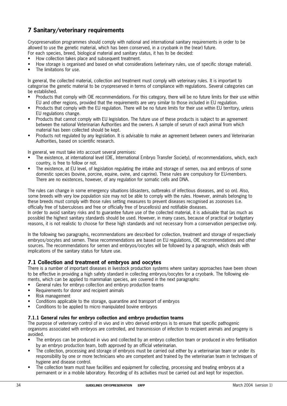# **7 Sanitary/veterinary requirements**

Cryopreservation programmes should comply with national and international sanitary requirements in order to be allowed to use the genetic material, which has been conserved, in a cryobank in the (near) future.

For each species, breed, biological material and sanitary status, it has to be decided:

- How collection takes place and subsequent treatment.
- How storage is organised and based on what considerations (veterinary rules, use of specific storage material).
- The limitations for use.

In general, the collected material, collection and treatment must comply with veterinary rules. It is important to categorise the genetic material to be cryopreserved in terms of compliance with regulations. Several categories can be established.

- Products that comply with OIE recommendations. For this category, there will be no future limits for their use within EU and other regions, provided that the requirements are very similar to those included in EU regulation.
- Products that comply with the EU regulation. There will be no future limits for their use within EU territory, unless EU regulations change.
- Products that cannot comply with EU legislation. The future use of these products is subject to an agreement between the national Veterinarian Authorities and the owners. A sample of serum of each animal from which material has been collected should be kept.
- Products not regulated by any legislation. It is advisable to make an agreement between owners and Veterinarian Authorities, based on scientific research.

In general, we must take into account several premises:

- The existence, at international level (OIE, International Embryo Transfer Society), of recommendations, which, each country, is free to follow or not.
- The existence, at EU level, of legislation regulating the intake and storage of semen, ova and embryos of some domestic species (bovine, porcine, equine, ovine, and caprine). These rules are compulsory for EU-members. There are no existences, however, of any regulation for somatic cells and DNA.

The rules can change in some emergency situations (disasters, outbreaks of infectious diseases, and so on). Also, some breeds with very low population size may not be able to comply with the rules. However, animals belonging to these breeds must comply with those rules setting measures to prevent diseases recognised as zoonoses (i.e. officially free of tuberculoses and free or officially free of brucellosis) and notifiable diseases.

In order to avoid sanitary risks and to guarantee future use of the collected material, it is advisable that (as much as possible) the highest sanitary standards should be used. However, in many cases, because of practical or budgetary reasons, it is not realistic to choose for these high standards and not necessary from a conservation perspective only.

In the following two paragraphs, recommendations are described for collection, treatment and storage of respectively embryos/oocytes and semen. These recommendations are based on EU regulations, OIE recommendations and other sources. The recommendations for semen and embryos/oocytes will be followed by a paragraph, which deals with implications of the sanitary status for future use.

# **7.1 Collection and treatment of embryos and oocytes**

There is a number of important diseases in livestock production systems where sanitary approaches have been shown to be effective in providing a high safety standard in collecting embryos/oocytes for a cryobank. The following elements, which can be applied to mammalian species, are covered in the next paragraphs:

- General rules for embryo collection and embryo production teams
- Requirements for donor and recipient animals
- Risk management
- Conditions applicable to the storage, quarantine and transport of embryos
- Conditions to be applied to micro manipulated bovine embryos

#### **7.1.1 General rules for embryo collection and embryo production teams**

The purpose of veterinary control of in vivo and in vitro derived embryos is to ensure that specific pathogenic organisms associated with embryos are controlled, and transmission of infection to recipient animals and progeny is avoided.

- The embryos can be produced in vivo and collected by an embryo collection team or produced in vitro fertilisation by an embryo production team, both approved by an official veterinarian.
- The collection, processing and storage of embryos must be carried out either by a veterinarian team or under its responsibility by one or more technicians who are competent and trained by the veterinarian team in techniques of hygiene and disease control.
- The collection team must have facilities and equipment for collecting, processing and treating embryos at a permanent or in a mobile laboratory. Recording of its activities must be carried out and kept for inspection.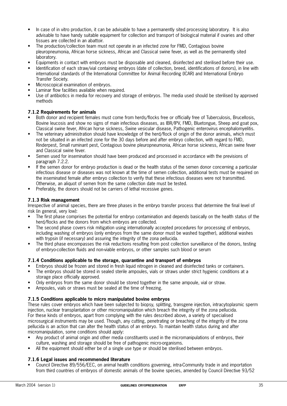- In case of in vitro production, it can be advisable to have a permanently sited processing laboratory. It is also advisable to have handy suitable equipment for collection and transport of biological material if ovaries and other tissues are collected in an abattoir.
- The production/collection team must not operate in an infected zone for FMD, Contagious bovine pleuropneumonia, African horse sickness, African and Classical swine fever, as well as the permanently sited laboratory.
- Equipments in contact with embryos must be disposable and cleaned, disinfected and sterilised before their use.
- Identification of each straw/vial containing embryos (date of collection, breed, identifications of donors), in line with international standards of the International Committee for Animal Recording (ICAR) and International Embryo Transfer Society.
- Microscopical examination of embryos.
- Laminar flow facilities available when required.
- Use of antibiotics in media for recovery and storage of embryos. The media used should be sterilised by approved methods

#### **7.1.2 Requirements for animals**

- Both donor and recipient females must come from herds/flocks free or officially free of Tuberculosis, Brucellosis, Bovine leucosis and show no signs of main infectious diseases, as IBR/IPV, FMD, Bluetongue, Sheep and goat pox, Classical swine fever, African horse sickness, Swine vesicular disease, Pathogenic enterovirus encephalomyelitis.
- The veterinary administration should have knowledge of the herd/flock of origin of the donor animals, which must not be situated in an infected zone for the 30 days before and after embryo collection, with regard to FMD, Rinderpest, Small ruminant pest, Contagious bovine pleuropneumonia, African horse sickness, African swine fever and Classical swine fever.
- Semen used for insemination should have been produced and processed in accordance with the previsions of paragraph 7.2.2.
- If the semen donor for embryo production is dead or the health status of the semen donor concerning a particular infectious disease or diseases was not known at the time of semen collection, additional tests must be required on the inseminated female after embryo collection to verify that these infectious diseases were not transmitted. Otherwise, an aliquot of semen from the same collection date must be tested.
- Preferably, the donors should not be carriers of lethal recessive genes.

#### **7.1.3 Risk management**

Irrespective of animal species, there are three phases in the embryo transfer process that determine the final level of risk (in general, very low):

- The first phase comprises the potential for embryo contamination and depends basically on the health status of the herd/flocks and the donors from which embryos are collected.
- The second phase covers risk mitigation using internationally accepted procedures for processing of embryos, including washing of embryos (only embryos from the same donor must be washed together), additional washes with trypsin (if necessary) and assuring the integrity of the zona pellucida.
- The third phase encompasses the risk reductions resulting from post collection surveillance of the donors, testing of embryo-collection fluids and non-viable embryos, or other samples such blood or serum

#### **7.1.4 Conditions applicable to the storage, quarantine and transport of embryos**

- Embryos should be frozen and stored in fresh liquid nitrogen in cleaned and disinfected tanks or containers.
- The embryos should be stored in sealed sterile ampoules, vials or straws under strict hygienic conditions at a storage place officially approved.
- Only embryos from the same donor should be stored together in the same ampoule, vial or straw.
- Ampoules, vials or straws must be sealed at the time of freezing.

#### **7.1.5 Conditions applicable to micro manipulated bovine embryos**

These rules cover embryos which have been subjected to biopsy, splitting, transgene injection, intracytoplasmic sperm injection, nuclear transplantation or other micromanipulation which breach the integrity of the zona pellucida. For these kinds of embryos, apart from complying with the rules described above, a variety of specialised microsurgical instruments may be used. Though, any cutting, penetrating or breaching of the integrity of the zona pellucida is an action that can alter the health status of an embryo. To maintain health status during and after micromanipulation, some conditions should apply:

- Any product of animal origin and other media constituents used in the micromanipulations of embryos, their culture, washing and storage should be free of pathogenic micro-organisms.
- All the equipment should either be of a single use type or should be sterilised between embryos.

#### **7.1.6 Legal issues and recommended literature**

• Council Directive 89/556/EEC, on animal health conditions governing, intra-Community trade in and importation from third countries of embryos of domestic animals of the bovine species, amended by Council Directive 93/52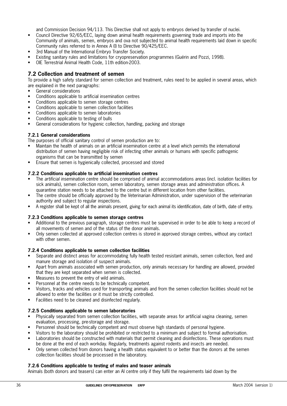and Commission Decision 94/113. This Directive shall not apply to embryos derived by transfer of nuclei.

- Council Directive 92/65/EEC, laying down animal health requirements governing trade and imports into the Community of animals, semen, embryos and ova not subjected to animal health requirements laid down in specific Community rules referred to in Annex A (I) to Directive 90/425/EEC.
- 3rd Manual of the International Embryo Transfer Society.
- Existing sanitary rules and limitations for cryopreservation programmes (Guérin and Pozzi, 1998).
- OIE Terrestrial Animal Health Code, 11th edition-2003.

## **7.2 Collection and treatment of semen**

To provide a high safety standard for semen collection and treatment, rules need to be applied in several areas, which are explained in the next paragraphs:

- General considerations
- Conditions applicable to artificial insemination centres
- Conditions applicable to semen storage centres
- Conditions applicable to semen collection facilities
- Conditions applicable to semen laboratories
- Conditions applicable to testing of bulls
- General considerations for hygienic collection, handling, packing and storage

#### **7.2.1 General considerations**

The purposes of official sanitary control of semen production are to:

- Maintain the health of animals on an artificial insemination centre at a level which permits the international distribution of semen having negligible risk of infecting other animals or humans with specific pathogenic organisms that can be transmitted by semen
- Ensure that semen is hygienically collected, processed and stored

#### **7.2.2 Conditions applicable to artificial insemination centres**

- The artificial insemination centre should be comprised of animal accommodations areas (incl. isolation facilities for sick animals), semen collection room, semen laboratory, semen storage areas and administration offices. A quarantine station needs to be attached to the centre but in different location from other facilities.
- The centre should be officially approved by the Veterinarian Administration, under supervision of the veterinarian authority and subject to regular inspections.
- A register shall be kept of all the animals present, giving for each animal its identification, date of birth, date of entry.

#### **7.2.3 Conditions applicable to semen storage centres**

- Additional to the previous paragraph, storage centres must be supervised in order to be able to keep a record of all movements of semen and of the status of the donor animals.
- Only semen collected at approved collection centres is stored in approved storage centres, without any contact with other semen.

#### **7.2.4 Conditions applicable to semen collection facilities**

- Separate and distinct areas for accommodating fully health tested resistant animals, semen collection, feed and manure storage and isolation of suspect animals.
- Apart from animals associated with semen production, only animals necessary for handling are allowed, provided that they are kept separated when semen is collected.
- Measures to prevent the entry of wild animals.
- Personnel at the centre needs to be technically competent.
- Visitors, tracks and vehicles used for transporting animals and from the semen collection facilities should not be allowed to enter the facilities or it must be strictly controlled.
- Facilities need to be cleaned and disinfected regularly.

#### **7.2.5 Conditions applicable to semen laboratories**

- Physically separated from semen collection facilities, with separate areas for artificial vagina cleaning, semen evaluation, processing, pre-storage and storage.
- Personnel should be technically competent and must observe high standards of personal hygiene.
- Visitors to the laboratory should be prohibited or restricted to a minimum and subject to formal authorisation.
- Laboratories should be constructed with materials that permit cleaning and disinfections. These operations must be done at the end of each workday. Regularly, treatments against rodents and insects are needed.
- Only semen collected from donors having a health status equivalent to or better than the donors at the semen collection facilities should be processed in the laboratory.

#### **7.2.6 Conditions applicable to testing of males and teaser animals**

Animals (both donors and teasers) can enter an AI centre only if they fulfil the requirements laid down by the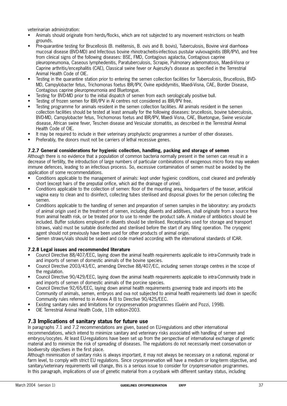veterinarian administration:

- Animals should originate from herds/flocks, which are not subjected to any movement restrictions on health grounds.
- Pre-quarantine testing for Brucellosis (B. melitensis, B. ovis and B. bovis), Tuberculosis, Bovine viral diarrhoeamucosal disease (BVD-MD) and Infectious bovine rhinotracheitis-infectious pustular vulvovaginitis (IBR/IPV), and free from clinical signs of the following diseases: BSE, FMD, Contagious agalactia, Contagious caprine pleuropneumonia, Caseous lymphedenitis, Paratuberculosis, Scrapie, Pulmonary adenomatosis, Maedi-Visna or Caprine arthritis/encephalitis (CAE), Classical swine fever or Aujeszky's disease as specified in the Terrestrial Animal Health Code of OIE.
- Testing in the quarantine station prior to entering the semen collection facilities for Tuberculosis, Brucellosis, BVD-MD, Campylobacter fetus, Trichomonas foetus IBR/IPV, Ovine epididymitis, Maedi-Visna, CAE, Border Disease, Contagious caprine pleuropneumonia and Bluetongue.
- Testing for BVD-MD prior to the initial dispatch of semen from each serologically positive bull.
- Testing of frozen semen for IBR/IPV in AI centres not considered as IBR/IPV free.
- Testing programme for animals resident in the semen collection facilities. All animals resident in the semen collection facilities should be tested at least annually for the following diseases: brucellosis, bovine tuberculosis, BVD-MD, Campylobacter fetus, Trichomonas foetus and IBR/IPV, Maedi Visna, CAE, Bluetongue, Swine vesicular disease, African swine fever, Teschen disease and Vesicular stomatitis, as described in the Terrestrial Animal Health Code of OIE.
- It may be required to include in their veterinary prophylactic programmes a number of other diseases.
- Preferably, the donors must not be carriers of lethal recessive genes.

#### **7.2.7 General considerations for hygienic collection, handling, packing and storage of semen**

Although there is no evidence that a population of common bacteria normally present in the semen can result in a decrease of fertility, the introduction of large numbers of particular combinations of exogenous micro flora may weaken immune defences, leading to an infectious process. So, excessive contamination of semen must be avoided by the application of some recommendations.

- Conditions applicable to the management of animals: kept under hygienic conditions, coat cleaned and preferably short (except hairs of the preputial orifice, which aid the drainage of urine).
- Conditions applicable to the collection of semen: floor of the mounting area, hindquarters of the teaser, artificial vagina easy to clean and to disinfect, collecting tubes sterilised and disposal gloves for the person collecting the semen.
- Conditions applicable to the handling of semen and preparation of semen samples in the laboratory: any products of animal origin used in the treatment of semen, including diluents and additives, shall originate from a source free from animal health risk, or be treated prior to use to render the product safe. A mixture of antibiotics should be included. Buffer solutions employed in diluents should be sterilised. Receptacles used for storage and transport (straws, vials) must be suitable disinfected and sterilised before the start of any filling operation. The cryogenic agent should not previously have been used for other products of animal origin.
- Semen straws/vials should be sealed and code marked according with the international standards of ICAR.

#### **7.2.8 Legal issues and recommended literature**

- Council Directive 88/407/EEC, laying down the animal health requirements applicable to intra-Community trade in and imports of semen of domestic animals of the bovine species.
- Council Directive 2003/43/EC, amending Directive 88/407/EC, including semen storage centres in the scope of the regulation.
- Council Directive 90/429/EEC, laying down the animal health requirements applicable to intra-Community trade in and imports of semen of domestic animals of the porcine species.
- Council Directive 92/65/EEC, laying down animal health requirements governing trade and imports into the Community of animals, semen, embryos and ova not subjected to animal health requirements laid down in specific Community rules referred to in Annex A (I) to Directive 90/425/EEC.
- Existing sanitary rules and limitations for cryopreservation programmes (Guérin and Pozzi, 1998).
- OIE Terrestrial Animal Health Code, 11th edition-2003.

# **7.3 Implications of sanitary status for future use**

In paragraphs 7.1 and 7.2 recommendations are given, based on EU-regulations and other international recommendations, which intend to minimize sanitary and veterinary risks associated with handling of semen and embryos/oocytes. At least EU-regulations have been set up from the perspective of international exchange of genetic material and to minimize the risk of spreading of diseases. The regulations do not necessarily meet conservation or biodiversity objectives in the first place.

Although minimisation of sanitary risks is always important, it may not always be necessary on a national, regional or farm level, to comply with strict EU regulations. Since cryopreservation will have a medium or long-term objective, and sanitary/veterinary requirements will change, this is a serious issue to consider for cryopreservation programmes. In this paragraph, implications of use of genetic material from a cryobank with different sanitary status, including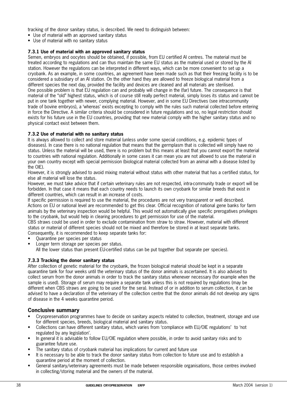tracking of the donor sanitary status, is described. We need to distinguish between:

- Use of material with an approved sanitary status
- Use of material with no sanitary status

#### **7.3.1 Use of material with an approved sanitary status**

Semen, embryos and oocytes should be obtained, if possible, from EU certified AI centres. The material must be treated according to regulations and can thus maintain the same EU status as the material used or stored by the AI station. However the regulations can be interpreted in different ways, which can be more convenient to set up a cryobank. As an example, in some countries, an agreement have been made such as that their freezing facility is to be considered a subsidiary of an AI station. On the other hand they are allowed to freeze biological material from a different species the next day, provided the facility and devices are cleaned and all materials are sterilised. One possible problem is that EU regulation can and probably will change in the (far) future. The consequence is that material of the "old" highest status, which is of course still really perfect material, simply loses its status and cannot be put in one tank together with newer, complying material. However, and in some EU Directives (see intracommunity trade of bovine embryos), a 'whereas' exists excepting to comply with the rules such material collected before entering in force the Directive. A similar criteria should be considered in future regulations and so, no legal restriction should exists for his future use in the EU countries, providing that new material comply with the higher sanitary status and no physical contact exist between them.

#### **7.3.2 Use of material with no sanitary status**

It is always allowed to collect and store material (unless under some special conditions, e.g. epidemic types of diseases). In case there is no national regulation that means that the germplasm that is collected will simply have no status. Unless the material will be used, there is no problem but this means at least that you cannot export the material to countries with national regulation. Additionally in some cases it can mean you are not allowed to use the material in your own country except with special permission (biological material collected from an animal with a disease listed by the OIF)

However, it is strongly advised to avoid mixing material without status with other material that has a certified status, for else all material will lose the status.

However, we must take advice that if certain veterinary rules are not respected, intra-community trade or export will be forbidden. In that case it means that each country needs to launch its own cryobank for similar breeds that exist in different countries, which can result in an increase of costs.

If specific permission is required to use the material, the procedures are not very transparent or well described. Actions on EU or national level are recommended to get this clear. Official recognition of national gene banks for farm animals by the veterinary inspection would be helpful. This would not automatically give specific prerogatives privileges to the cryobank, but would help in clearing procedures to get permission for use of the material.

CBS straws could be used in order to exclude contamination from straw to straw. However, material with different status or material of different species should not be mixed and therefore be stored in at least separate tanks. Consequently, it is recommended to keep separate tanks for:

- Quarantine per species per status
- Longer term storage per species per status.
- All the lower status than present EU-certified status can be put together (but separate per species).

#### **7.3.3 Tracking the donor sanitary status**

After collection of genetic material for the cryobank, the frozen biological material should be kept in a separate quarantine tank for four weeks until the veterinary status of the donor animals is ascertained. It is also advised to collect serum from the donor animals in order to track the sanitary status whenever necessary (for example when the sample is used). Storage of serum may require a separate tank unless this is not required by regulations (may be different when CBS straws are going to be used for the sera). Instead of or in addition to serum collection, it can be advised to have a declaration of the veterinary of the collection centre that the donor animals did not develop any signs of disease in the 4 weeks quarantine period.

# **Conclusive summary**

- Cryopreservation programmes have to decide on sanitary aspects related to collection, treatment, storage and use for different species, breeds, biological material and sanitary status.
- Collections can have different sanitary status, which varies from 'compliance with EU/OIE regulations' to 'not regulated by any legislation'.
- In general it is advisable to follow EU/OIE regulation where possible, in order to avoid sanitary risks and to guarantee future use.
- The sanitary status of cryobank material has implications for current and future use
- It is necessary to be able to track the donor sanitary status from collection to future use and to establish a quarantine period at the moment of collection.
- General sanitary/veterinary agreements must be made between responsible organisations, those centres involved in collecting/storing material and the owners of the material.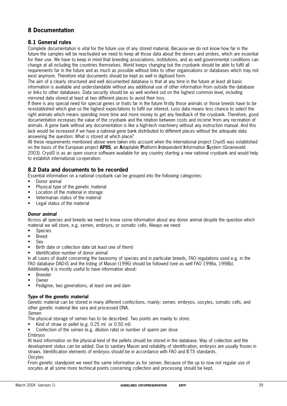# **8 Documentation**

# **8.1 General rules**

Complete documentation is vital for the future use of any stored material. Because we do not know how far in the future the samples will be reactivated we need to keep all those data about the donors and probes, which are essential for their use. We have to keep in mind that breeding associations, institutions, and as well governmental conditions can change at all including the countries themselves. World keeps changing but the cryobank should be able to fulfil all requirements far in the future and as much as possible without links to other organisations or databases which may not exist anymore. Therefore vital documents should be kept as well in digitised form.

The aim of a clearly structured and well documented database is that at any time in the future at least all basic information is available and understandable without any additional use of other information from outside the database or links to other databases. Data security should be as well worked out on the highest common level, including mirrored data stored at least at two different places to avoid their loss.

If there is any special need for special genes or traits far in the future firstly those animals or those breeds have to be re-established which give us the highest expectations to fulfil our interest. Less data means less chance to select the right animals which means spending more time and more money to get any feedback of the cryobank. Therefore, good documentation increases the value of the cryobank and the relation between costs and income from any recreation of animals. A gene bank without any documentation is like a high-tech machinery without any instruction manual. And this lack would be increased if we have a national gene bank distributed to different places without the adequate data answering the question: What is stored at which place?

All these requirements mentioned above were taken into account when the international project CrvolS was established on the basis of the European project **APIIS**, an **A**daptable **P**latform **I**ndependent **I**nformation **S**ystem (Groeneveld 2003). CryoIS is as an open source software available for any country starting a new national cryobank and would help to establish international co-operation.

# **8.2 Data and documents to be recorded**

Essential information on a national cryobank can be grouped into the following categories:

- Donor animal
- Physical type of the genetic material
- Location of the material in storage
- Veterinarian status of the material
- Legal status of the material

#### **Donor animal**

Across all species and breeds we need to know some information about any donor animal despite the question which material we will store, e.g. semen, embryos, or somatic cells. Always we need:

- Species
- Breed
- Sex
- Birth date or collection date (at least one of them)
- Identification number of donor animal

In all cases of doubt concerning the taxonomy of species and in particular breeds, FAO regulations used e.g. in the FAO database DAD-IS and the listing of Mason (1996) should be followed (see as well FAO 1998a, 1998b). Additionally it is mostly useful to have information about:

- **Breeder**
- Owner
- Pedigree, two generations, at least sire and dam

#### **Type of the genetic material**

Genetic material can be stored in many different confections, mainly: semen, embryos, oocytes, somatic cells, and other genetic material like sera and processed DNA.

Semen

The physical storage of semen has to be described. Two points are mainly to store:

• Kind of straw or pellet (e.g. 0.25 ml or 0.50 ml)

Confection of the semen (e.g. dilution rate) or number of sperm per dose

#### Embryos

At least information on the physical kind of the pellets should be stored in the database. Way of collection and the development status can be added. Due to sanitary Mason and reliability of identification, embryos are usually frozen in straws. Identification elements of embryos should be in accordance with FAO and IETS standards. **Oocytes** 

From genetic standpoint we need the same information as for semen. Because of the up to now not regular use of oocytes at all some more technical points concerning collection and processing should be kept.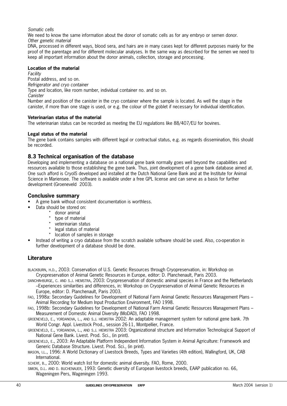Somatic cells

We need to know the same information about the donor of somatic cells as for any embryo or semen donor. Other genetic material

DNA, processed in different ways, blood sera, and hairs are in many cases kept for different purposes mainly for the proof of the parentage and for different molecular analyses. In the same way as described for the semen we need to keep all important information about the donor animals, collection, storage and processing.

#### **Location of the material**

Facility

Postal address, and so on.

Refrigerator and cryo container

Type and location, like room number, individual container no. and so on.

**Canister** 

Number and position of the canister in the cryo container where the sample is located. As well the stage in the canister, if more than one stage is used, or e.g. the colour of the goblet if necessary for individual identification.

#### **Veterinarian status of the material**

The veterinarian status can be recorded as meeting the EU regulations like 88/407/EU for bovines.

#### **Legal status of the material**

The gene bank contains samples with different legal or contractual status, e.g. as regards dissemination, this should be recorded.

# **8.3 Technical organisation of the database**

Developing and implementing a database on a national gene bank normally goes well beyond the capabilities and resources available to those establishing the gene bank. Thus, joint development of a gene bank database aimed at. One such afford is CryoIS developed and installed at the Dutch National Gene Bank and at the Institute for Animal Science in Mariensee. The software is available under a free GPL license and can serve as a basis for further development (Groeneveld 2003).

## **Conclusive summary**

• A gene bank without consistent documentation is worthless.

- Data should be stored on:
	- \* donor animal
	- \* type of material
	- \* veterinarian status
	- legal status of material
	- \* location of samples in storage
- Instead of writing a cryo database from the scratch available software should be used. Also, co-operation in further development of a database should be done.

# **Literature**

- BLACKBURN, H.D., 2003: Conservation of U.S. Genetic Resources through Cryopreservation, in: Workshop on Cryopreservation of Animal Genetic Resources in Europe, editor: D. Planchenault, Paris 2003.
- DANCHIN-BURGE, C. AND S.J. HIEMSTRA, 2003: Cryopreservation of domestic animal species in France and the Netherlands –Experiences similarities and differences, in: Workshop on Cryopreservation of Animal Genetic Resources in Europe, editor: D. Planchenault, Paris 2003.
- FAO, 1998a: Secondary Guidelines for Development of National Farm Animal Genetic Resources Management Plans Animal Recording for Medium Input Production Environment, FAO 1998.
- FAO, 1998b: Secondary Guidelines for Development of National Farm Animal Genetic Resources Management Plans Measurement of Domestic Animal Diversity (MoDAD), FAO 1998.
- GROENEVELD, E., YORDANOVA, L., AND S.J. HIEMSTRA 2002: An adaptable management system for national gene bank. 7th World Congr. Appl. Livestock Prod., session 26-11, Montpellier, France.
- GROENEVELD, E., YORDANOVA, L., AND S.J. HIEMSTRA 2003: Organizational structure and Information Technological Support of National Gene Bank. Livest. Prod. Sci., (in print).
- GROENEVELD, E., 2003: An Adaptable Platform Independent Information System in Animal Agriculture: Framework and Generic Database Structure. Livest. Prod. Sci., (in print).
- MASON, I.L., 1996: A World Dictionary of Livestock Breeds, Types and Varieties (4th edition), Wallingford, UK, CAB International.
- SCHERF, B., 2000: World watch list for domestic animal diversity. FAO, Rome, 2000.

SIMON, D.L. AND D. BUCHENAUER, 1993: Genetic diversity of European livestock breeds, EAAP publication no. 66, Wageningen Pers, Wageningen 1993.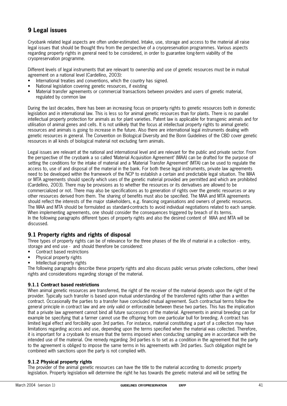# **9 Legal issues**

Cryobank related legal aspects are often under-estimated. Intake, use, storage and access to the material all raise legal issues that should be thought thru from the perspective of a cryopreservation programmes. Various aspects regarding property rights in general need to be considered, in order to guarantee long-term viability of the cryopreservation programme.

Different levels of legal instruments that are relevant to ownership and use of genetic resources must be in mutual agreement on a national level (Cardellino, 2003):

- International treaties and conventions, which the country has signed.
- National legislation covering genetic resources, if existing
- Material transfer agreements or commercial transactions between providers and users of genetic material, regulated by common law

During the last decades, there has been an increasing focus on property rights to genetic resources both in domestic legislation and in international law. This is less so for animal genetic resources than for plants. There is no parallel intellectual property protection for animals as for plant varieties. Patent law is applicable for transgenic animals and for utilisation of animal genes and cells. It is not unlikely that the focus at intellectual property rights to animal genetic resources and animals is going to increase in the future. Also there are international legal instruments dealing with genetic resources in general. The Convention on Biological Diversity and the Bonn Guidelines of the CBD cover genetic resources in all kinds of biological material not excluding farm animals.

Legal issues are relevant at the national and international level and are relevant for the public and private sector. From the perspective of the cryobank a so called 'Material Acquisition Agreement' (MAA) can be drafted for the purpose of setting the conditions for the intake of material and a 'Material Transfer Agreement' (MTA) can be used to regulate the access to, use of and disposal of the material in the bank. For both these legal instruments, private law agreements need to be developed within the framework of the NCP to establish a certain and predictable legal situation. The MAA or MTA agreements should specify which uses of the genetic material provided are permitted and which are prohibited (Cardellino, 2003). There may be provisions as to whether the resources or its derivatives are allowed to be commercialized or not. There may also be specifications as to generation of rights over the genetic resources or any other resources derived from them. The sharing of benefits must also be specified. The MAA and MTA agreements should reflect the interests of the major stakeholders, e.g. financing organisations and owners of genetic resources. The MAA and MTA should be formulated as standard-contracts to avoid individual negotiations related to each sample. When implementing agreements, one should consider the consequences triggered by breach of its terms. In the following paragraphs different types of property rights and also the desired content of MAA and MTA will be discussed.

# **9.1 Property rights and rights of disposal**

Three types of property rights can be of relevance for the three phases of the life of material in a collection - entry, storage and end use - and should therefore be considered:

- Contract based restrictions
- Physical property rights
- Intellectual property rights

The following paragraphs describe these property rights and also discuss public versus private collections, other (new) rights and considerations regarding storage of the material.

#### **9.1.1 Contract based restrictions**

When animal genetic resources are transferred, the right of the receiver of the material depends upon the right of the provider. Typically such transfer is based upon mutual understanding of the transferred rights rather than a written contract. Occasionally the parties to a transfer have concluded mutual agreement. Such contractual terms follow the general principle in contract law and are only valid or enforceable between these two parties. This has the implication that a private law agreement cannot bind all future successors of the material. Agreements in animal breeding can for example be specifying that a farmer cannot use the offspring from one particular bull for breeding. A contract has limited legal effect and forcibility upon 3rd parties. For instance, material constituting a part of a collection may have limitations regarding access and use, depending upon the terms specified when the material was collected. Therefore, it is important for a cryobank to ensure that the terms imposed when conducting sampling are in accordance with the intended use of the material. One remedy regarding 3rd parties is to set as a condition in the agreement that the party to the agreement is obliged to impose the same terms in his agreements with 3rd parties. Such obligation might be combined with sanctions upon the party is not complied with.

#### **9.1.2 Physical property rights**

The provider of the animal genetic resources can have the title to the material according to domestic property legislation. Property legislation will determine the right he has towards the genetic material and will be setting the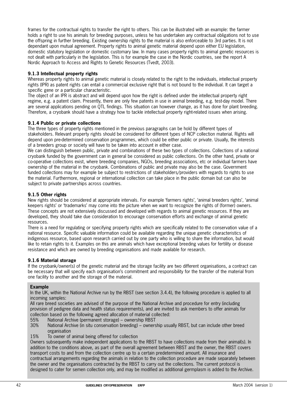frames for the contractual rights to transfer the right to others. This can be illustrated with an example: the farmer holds a right to use his animals for breeding purposes, unless he has undertaken any contractual obligations not to use the offspring in further breeding. Existing ownership rights to the material is also enforceable to 3rd parties. It is not dependant upon mutual agreement. Property rights to animal genetic material depend upon either EU legislation, domestic statutory legislation or domestic customary law. In many cases property rights to animal genetic resources is not dealt with particularly in the legislation. This is for example the case in the Nordic countries, see the report A Nordic Approach to Access and Rights to Genetic Resources (Tvedt, 2003).

### **9.1.3 Intellectual property rights**

Whereas property rights to animal genetic material is closely related to the right to the individuals, intellectual property rights (IPR) as patent rights can entail a commercial exclusive right that is not bound to the individual. It can target a specific gene or a particular characteristic.

The object of an IPR is abstract and will depend upon how the right is defined under the intellectual property right regime, e.g. a patent claim. Presently, there are only few patents in use in animal breeding, e.g. test-day model. There are several applications pending on QTL findings. This situation can however change, as it has done for plant breeding. Therefore, a cryobank should have a strategy how to tackle intellectual property right-related issues when arising.

## **9.1.4 Public or private collections**

The three types of property rights mentioned in the previous paragraphs can be hold by different types of stakeholders. Relevant property rights should be considered for different types of NCP collection material. Rights will depend upon pre-determined conservation programmes, which could be either public or private. Usually, the interests of a breeders group or society will have to be taken into account in either case.

We can distinguish between public, private and combinations of these two types of collections. Collections of a national cryobank funded by the government can in general be considered as public collections. On the other hand, private or co-operative collections exist, where breeding companies, NGOs, breeding associations, etc or individual farmers have ownership of the material in the cryobank. Combinations of public and private may also be the case. Government funded collections may for example be subject to restrictions of stakeholders/providers with regards to rights to use the material. Furthermore, regional or international collection can take place in the public domain but can also be subject to private partnerships across countries.

#### **9.1.5 Other rights**

New rights should be considered at appropriate intervals. For example 'farmers rights', 'animal breeders rights', 'animal keepers rights' or 'trademarks' may come into the picture when we want to recognize the rights of (former) owners. These concepts are not extensively discussed and developed with regards to animal genetic resources. If they are developed, they should take due consideration to encourage conservation efforts and exchange of animal genetic resources.

There is a need for regulating or specifying property rights which are specifically related to the conservation value of a national resource. Specific valuable information could be available regarding the unique genetic characteristics of indigenous resource, based upon research carried out by one party who is willing to share the information, but would like to retain rights to it. Examples on this are animals which have exceptional breeding values for fertility or disease resistance and which are owned by breeding organisations and made available for research.

#### **9.1.6 Material storage**

If the cryobank/owner(s) of the genetic material and the storage facility are two different organisations, a contract can be necessary that will specify each organisation's commitment and responsibility for the transfer of the material from one facility to another and the storage of the material.

#### **Example**

In the UK, within the National Archive run by the RBST (see section 3.4.4), the following procedure is applied to all incoming samples:

All rare breed societies are advised of the purpose of the National Archive and procedure for entry (including provision of pedigree data and health status requirements), and are invited to ask members to offer animals for collection based on the following agreed allocation of material collected:

- 55% National Archive (permanent storage) ownership RBST
- National Archive (in situ conservation breeding) ownership usually RBST, but can include other breed organisation
- 15% To owner of animal being offered for collection

Owners subsequently make independent applications to the RBST to have collections made from their animal(s). In addition to the conditions above, as part of the overall agreement between RBST and the owner, the RBST covers transport costs to and from the collection centre up to a certain predetermined amount. All insurance and contractual arrangements regarding the animals in relation to the collection procedure are made separately between the owner and the organisations contracted by the RBST to carry out the collections. The current protocol is designed to cater for semen collection only, and may be modified as additional germplasm is added to the Archive.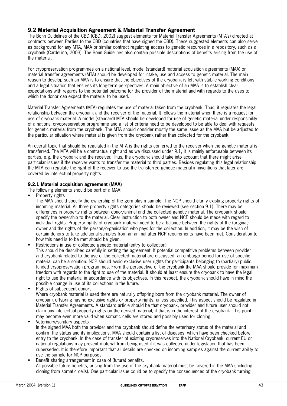# **9.2 Material Acquisition Agreement & Material Transfer Agreement**

The Bonn Guidelines of the CBD (CBD, 2002) suggest elements for Material Transfer Agreements (MTA's) directed at contracts between Parties to the CBD (countries that have signed the CBD). These suggested elements can also serve as background for any MTA, MAA or similar contract regulating access to genetic resources in a repository, such as a cryobank (Cardellino, 2003). The Bonn Guidelines also contain possible descriptions of benefits arising from the use of the material.

For cryopreservation programmes on a national level, model (standard) material acquisition agreements (MAA) or material transfer agreements (MTA) should be developed for intake, use and access to genetic material. The main reason to develop such an MAA is to ensure that the objectives of the cryobank is left with stabile working conditions and a legal situation that ensures its long-term perspectives. A main objective of an MAA is to establish clear expectations with regards to the potential outcome for the provider of the material and with regards to the uses to which the donor can expect the material to be used.

Material Transfer Agreements (MTA) regulates the use of material taken from the cryobank. Thus, it regulates the legal relationship between the cryobank and the receiver of the material. It follows the material when there is a request for use of cryobank material. A model (standard) MTA should be developed for use of genetic material under responsibility of a national cryopreservation programme and a list of criteria need to be developed to be able to deal with requests for genetic material from the cryobank. The MTA should consider mostly the same issue as the MAA but be adjusted to the particular situation where material is given from the cryobank rather than collected for the cryobank.

An overall topic that should be regulated in the MTA is the rights conferred to the receiver when the genetic material is transferred. The MTA will be a contractual right and as we discussed under 9.1, it is mainly enforceable between its parties, e.g. the cryobank and the receiver. Thus, the cryobank should take into account that there might arise particular issues if the receiver wants to transfer the material to third parties. Besides regulating this legal relationship, the MTA can regulate the right of the receiver to use the transferred genetic material in inventions that later are covered by intellectual property rights.

## **9.2.1 Material acquisition agreement (MAA)**

The following elements should be part of a MAA:

Property rights

The MAA should specify the ownership of the germplasm sample. The NCP should clarify existing property rights of incoming material. All three property rights categories should be reviewed (see section 9.1). There may be differences in property rights between donor/animal and the collected genetic material. The cryobank should specify the ownership to the material. Clear instruction to both owner and NCP should be made with regard to individual rights. Property rights of cryobank material need to be a balance between the rights of the (original) owner and the rights of the person/organisation who pays for the collection. In addition, it may be the wish of certain donors to take additional samples from an animal after NCP requirements have been met. Consideration to how this need is to be met should be given.

- Restrictions in use of collected genetic material (entry to collection) This should be described carefully in setting the agreement. If potential competitive problems between provider and cryobank related to the use of the collected material are discussed, an embargo period for use of specific material can be a solution. NCP should avoid exclusive user rights for participants belonging to (partially) public funded cryopreservation programmes. From the perspective of the cryobank the MAA should provide for maximum freedom with regards to the right to use of the material. It should at least ensure the cryobank to have the legal right to use the material in accordance with its objectives. In this respect, the cryobank should have in mind the possible change in use of its collections in the future.
- Rights of subsequent donors

Where cryobank material is used there are naturally offspring born from the cryobank material. The owner of cryobank offspring has no exclusive rights or property rights, unless specified. This aspect should be regulated in Material Transfer Agreements. A standard article should be that cryobank, provider and future user should not claim any intellectual property rights on the derived material, if that is in the interest of the cryobank. This point may become even more valid when somatic cells are stored and possibly used for cloning.

• Veterinary/sanitary aspects

In the signed MAA both the provider and the cryobank should define the veterinary status of the material and confirm the status and its implications. MAA should contain a list of diseases, which have been checked before entry to the cryobank. In the case of transfer of existing cryoreserves into the National Cryobank, current EU or national regulations may prevent material from being used if it was collected under legislation that has been superseded. It is therefore important that all details are checked on incoming samples against the current ability to use the sample for NCP purposes.

• Benefit sharing arrangement in case of (future) benefits. All possible future benefits, arising from the use of the cryobank material must be covered in the MAA (including cloning from somatic cells). One particular issue could be to specify the consequences of the cryobank turning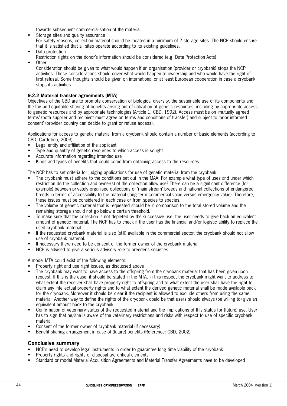towards subsequent commercialisation of the material.

- Storage sites and quality assurance For safety reasons, collection material should be located in a minimum of 2 storage sites. The NCP should ensure that it is satisfied that all sites operate according to its existing guidelines.
- Data protection
- Restriction rights on the donor's information should be considered (e.g. Data Protection Acts)
- Other

Consideration should be given to what would happen if an organisation (provider or cryobank) stops the NCP activities. These considerations should cover what would happen to ownership and who would have the right of first refusal. Some thoughts should be given on international or at least European cooperation in case a cryobank stops its activities.

### **9.2.2 Material transfer agreements (MTA)**

Objectives of the CBD are to promote conservation of biological diversity, the sustainable use of its components and the fair and equitable sharing of benefits arising out of utilization of genetic resources, including by appropriate access to genetic resources and by appropriate technologies (Article 1, CBD, 1992). Access must be on 'mutually agreed terms' (both supplier and recipient must agree on terms and conditions of transfer) and subject to 'prior informed consent' (provider country can decide to grant or refuse access).

Applications for access to genetic material from a cryobank should contain a number of basic elements (according to CBD, Cardellino, 2003):

- Legal entity and affiliation of the applicant
- Type and quantity of genetic resources to which access is sought
- Accurate information regarding intended use
- Kinds and types of benefits that could come from obtaining access to the resources

The NCP has to set criteria for judging applications for use of genetic material from the cryobank:

- The cryobank must adhere to the conditions set out in the MAA. For example what type of uses and under which restriction do the collection and owner(s) of the collection allow use? There can be a significant difference (for example) between privately organised collections of 'main stream' breeds and national collections of endangered breeds in terms of accessibility to the material (long term commercial value versus emergency value). Therefore, these issues must be considered in each case or from species to species.
- The volume of genetic material that is requested should be in comparison to the total stored volume and the remaining storage should not go below a certain threshold.
- To make sure that the collection is not depleted by the successive use, the user needs to give back an equivalent amount of genetic material. The NCP has to check if the user has the financial and/or logistic ability to replace the used cryobank material
- If the requested cryobank material is also (still) available in the commercial sector, the cryobank should not allow use of cryobank material.
- If necessary there need to be consent of the former owner of the cryobank material
- NCP is advised to give a serious advisory role to breeder's societies.

A model MTA could exist of the following elements:

- Property right and use right issues, as discussed above
- The cryobank may want to have access to the offspring from the cryobank material that has been given upon request. If this is the case, it should be stated in the MTA. In this respect the cryobank might want to address to what extent the receiver shall have property right to offspring and to what extent the user shall have the right to claim any intellectual property rights and to what extent the derived genetic material shall be made available back for the cryobank. Moreover it should be clear if the recipient is allowed to exclude others from using the same material. Another way to define the rights of the cryobank could be that users should always (be willing to) give an equivalent amount back to the cryobank.
- Confirmation of veterinary status of the requested material and the implications of this status for (future) use. User has to sign that he/she is aware of the veterinary restrictions and risks with respect to use of specific cryobank material.
- Consent of the former owner of cryobank material (if necessary)
- Benefit sharing arrangement in case of (future) benefits (Reference: CBD, 2002)

#### **Conclusive summary**

- NCP's need to develop legal instruments in order to guarantee long time viability of the cryobank
- Property rights and rights of disposal are critical elements
- Standard or model Material Acquisition Agreements and Material Transfer Agreements have to be developed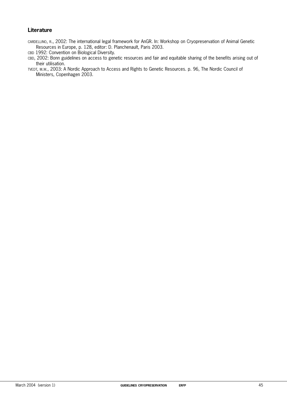# **Literature**

- CARDELLINO, R., 2002: The international legal framework for AnGR. In: Workshop on Cryopreservation of Animal Genetic Resources in Europe, p. 128, editor: D. Planchenault, Paris 2003.
- CBD 1992: Convention on Biological Diversity.
- CBD, 2002: Bonn guidelines on access to genetic resources and fair and equitable sharing of the benefits arising out of their utilisation.
- TVEDT, M.W., 2003: A Nordic Approach to Access and Rights to Genetic Resources. p. 96, The Nordic Council of Ministers, Copenhagen 2003.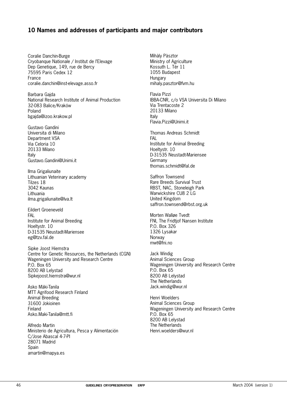# **10 Names and addresses of participants and major contributors**

Coralie Danchin-Burge Cryobanque Nationale / Institut de l'Elevage Dep Genetique, 149, rue de Bercy 75595 Paris Cedex 12 France coralie.danchin@inst-elevage.asso.fr

Barbara Gajda National Research Institute of Animal Production 32-083 Balice/Kraków Poland bgajda@izoo.krakow.pl

Gustavo Gandini Universita di Milano Department VSA Via Celoria 10 20133 Milano Italy Gustavo.Gandini@Unimi.it

Ilma Grigaliunaite Lithuanian Veterinary academy Tilzes 18 3042 Kaunas Lithuania ilma.grigaliunaite@lva.lt

Eildert Groeneveld FAL Institute for Animal Breeding Hoeltystr. 10 D-31535 Neustadt-Mariensee eg@tzv.fal.de

Sipke Joost Hiemstra Centre for Genetic Resources, the Netherlands (CGN) Wageningen University and Research Centre P.O. Box 65 8200 AB Lelystad Sipkejoost.hiemstra@wur.nl

Asko Mäki-Tanila MTT Agrifood Research Finland Animal Breeding 31600 Jokioinen Finland Asko.Maki-Tanila@mtt.fi

Alfredo Martin Ministerio de Agricultura, Pesca y Alimentación C/Jose Abascal 4-7-PI 28071 Madrid **Spain** amartin@mapya.es

Mihàly Pàsztor Ministry of Agriculture Kossuth L. Tér 11 1055 Budapest Hungary mihaly.pasztor@fvm.hu

Flavia Pizzi IBBA-CNR, c/o VSA Universita Di Milano Via Trentacoste 2 20133 Milano Italy Flavia.Pizzi@Unimi.it

Thomas Andreas Schmidt FAL Institute for Animal Breeding Hoeltystr. 10 D-31535 Neustadt-Mariensee Germany thomas.schmidt@fal.de

Saffron Townsend Rare Breeds Survival Trust RBST, NAC, Stoneleigh Park Warwickshire CU8 2 LG United Kingdom saffron.townsend@rbst.org.uk

Morten Walløe Tvedt FNI, The Fridtjof Nansen Institute P.O. Box 326 1326 Lysakar Norway mwt@fni.no

Jack Windig Animal Sciences Group Wageningen University and Research Centre P.O. Box 65 8200 AB Lelystad The Netherlands Jack.windig@wur.nl

Henri Woelders Animal Sciences Group Wageningen University and Research Centre P.O. Box 65 8200 AB Lelystad The Netherlands Henri.woelders@wur.nl